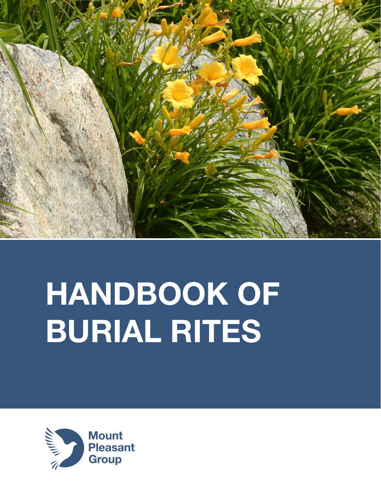

# HANDBOOK OF BURIAL RITES

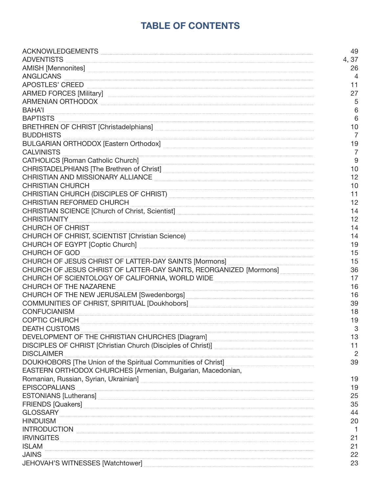# TABLE OF CONTENTS

| ACKNOWLEDGEMENTS                                                                                                                                                                                                                    | 49              |
|-------------------------------------------------------------------------------------------------------------------------------------------------------------------------------------------------------------------------------------|-----------------|
| ADVENTISTS                                                                                                                                                                                                                          | 4,37            |
| AMISH [Mennonites] <b>www.community.community.community.community.community.community.community.community.community.com</b>                                                                                                         | 26              |
| ANGLICANS                                                                                                                                                                                                                           | $\overline{4}$  |
| APOSTLES' CREED                                                                                                                                                                                                                     | 11              |
|                                                                                                                                                                                                                                     | 27              |
| ARMENIAN ORTHODOX                                                                                                                                                                                                                   | 5               |
|                                                                                                                                                                                                                                     | 6               |
| <b>BAHA'I</b><br>BAPTISTS                                                                                                                                                                                                           | $6\phantom{1}6$ |
| BRETHREN OF CHRIST [Christadelphians] <b>Manual Community Contract Community</b> Christadelphians]                                                                                                                                  | 10              |
| <b>BUDDHISTS</b>                                                                                                                                                                                                                    | $\overline{7}$  |
|                                                                                                                                                                                                                                     | 19              |
| <b>CALVINISTS</b>                                                                                                                                                                                                                   | $\overline{7}$  |
|                                                                                                                                                                                                                                     | 9               |
| CHRISTADELPHIANS [The Brethren of Christ] [2000] [2000] [2000] [2000] [2000] [2000] [2000] [2000] [2000] [2000                                                                                                                      | 10              |
| CHRISTIAN AND MISSIONARY ALLIANCE <b>And Access and Access and Access and Access</b> and Access and Access and Access and                                                                                                           | 12              |
| <b>CHRISTIAN CHURCH</b>                                                                                                                                                                                                             | 10              |
| CHRISTIAN CHURCH (DISCIPLES OF CHRIST) <b>CHRIST</b> CHRISTIAN CHURCH (DISCIPLES OF CHRIST)                                                                                                                                         | 11              |
| CHRISTIAN REFORMED CHURCH                                                                                                                                                                                                           | 12              |
| CHRISTIAN SCIENCE [Church of Christ, Scientist] <b>Manual Christ Christ</b> 2014 1994                                                                                                                                               | 14              |
| CHRISTIANITY EXECUTIVE CHRISTIANITY                                                                                                                                                                                                 | 12              |
|                                                                                                                                                                                                                                     | 14              |
| CHURCH OF CHRIST, SCIENTIST [Christian Science) <b>Manual Christian Science</b> 2014                                                                                                                                                | 14              |
| CHURCH OF EGYPT [Coptic Church] <b>Entitled Community CHURCH</b> OF EGYPT                                                                                                                                                           | 19              |
| CHURCH OF GOD                                                                                                                                                                                                                       | 15              |
| CHURCH OF JESUS CHRIST OF LATTER-DAY SAINTS [Mormons] Machines 2011 2014                                                                                                                                                            | 15              |
| CHURCH OF JESUS CHRIST OF LATTER-DAY SAINTS, REORGANIZED [Mormons]                                                                                                                                                                  | 36              |
| CHURCH OF SCIENTOLOGY OF CALIFORNIA, WORLD WIDE <b>CHURCH OF SCIENTOLOGY OF CALIFORNIA</b> , WORLD WIDE                                                                                                                             | 17              |
| CHURCH OF THE NAZARENE                                                                                                                                                                                                              | 16              |
|                                                                                                                                                                                                                                     | 16              |
|                                                                                                                                                                                                                                     | 39              |
| CONFUCIANISM EXECUTIVE CONFUCIANISM                                                                                                                                                                                                 | 18              |
| COPTIC CHURCH <b>Example 2016</b> The COPTIC CHURCH                                                                                                                                                                                 | 19              |
| <b>DEATH CUSTOMS</b>                                                                                                                                                                                                                | 3               |
|                                                                                                                                                                                                                                     | 13              |
|                                                                                                                                                                                                                                     | 11              |
| <b>DISCLAIMER</b>                                                                                                                                                                                                                   | $\overline{2}$  |
|                                                                                                                                                                                                                                     | 39              |
| EASTERN ORTHODOX CHURCHES [Armenian, Bulgarian, Macedonian,                                                                                                                                                                         |                 |
|                                                                                                                                                                                                                                     | 19              |
| EPISCOPALIANS                                                                                                                                                                                                                       | 19              |
| ESTONIANS [Lutherans]                                                                                                                                                                                                               | 25              |
|                                                                                                                                                                                                                                     | 35              |
|                                                                                                                                                                                                                                     | 44              |
|                                                                                                                                                                                                                                     | 20              |
| INTRODUCTION                                                                                                                                                                                                                        |                 |
| <b>IRVINGITES</b>                                                                                                                                                                                                                   | 21              |
| <b>ISLAM</b>                                                                                                                                                                                                                        | 21              |
| <b>JAINS</b>                                                                                                                                                                                                                        | 22              |
| JEHOVAH'S WITNESSES [Watchtower] <b>[2007]</b> [2008] [2008] [2008] [2008] [2008] [2008] [3008] [3008] [3008] [3008] [3008] [3008] [3008] [3008] [3008] [3008] [3008] [3008] [3008] [3008] [3008] [3008] [3008] [3008] [3008] [3008 | 23              |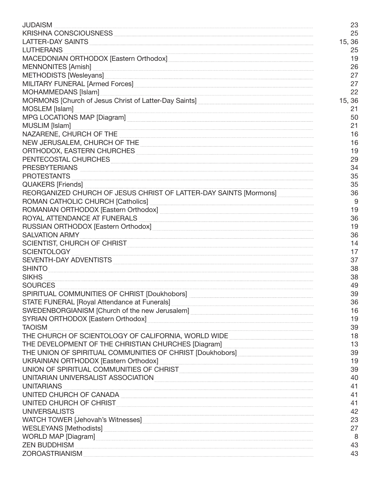|                                                                                                                                                                                                                                      | 23     |
|--------------------------------------------------------------------------------------------------------------------------------------------------------------------------------------------------------------------------------------|--------|
|                                                                                                                                                                                                                                      | 25     |
|                                                                                                                                                                                                                                      | 15, 36 |
| <b>LUTHERANS</b>                                                                                                                                                                                                                     | 25     |
| MACEDONIAN ORTHODOX [Eastern Orthodox] [[[2000] [[[2000] [[2000] [[2000] [[3000] [[3000] [[3000] [[3000] [[3000] [[3000] [[3000] [[3000] [[3000] [[3000] [[3000] [[3000] [[3000] [[3000] [[3000] [[30000] [[30000] [[300000] [       | 19     |
|                                                                                                                                                                                                                                      | 26     |
| METHODISTS [Wesleyans] [www.communications] [1999] [1999] [1999] [1999] [1999] [1999] [1999] [1999] [1999] [1999] [1999] [1999] [1999] [1999] [1999] [1999] [1999] [1999] [1999] [1999] [1999] [1999] [1999] [1999] [1999] [19       | 27     |
| MILITARY FUNERAL [Armed Forces] 2008 2009 2009 2010 2010 21:00:00 21:00:00 21:00:00 21:00:00 21:00:00 21:00:00                                                                                                                       | 27     |
|                                                                                                                                                                                                                                      | 22     |
|                                                                                                                                                                                                                                      | 15, 36 |
| MOSLEM [Islam] <b>with a construction of the construction</b> of the construction of the construction of the construction of the construction of the construction of the construction of the construction of the construction of th  | 21     |
| MPG LOCATIONS MAP [Diagram]                                                                                                                                                                                                          | 50     |
| MUSLIM [Islam] www.communication.com/www.communication.com/www.communication.com/www.communication.com/www.com                                                                                                                       | 21     |
| NAZARENE, CHURCH OF THE <b>Example 2008</b> Service and Service 2008 Service 2008 Service 2008 Service 2008 Service 2008                                                                                                             | 16     |
| NEW JERUSALEM, CHURCH OF THE <b>CONSIDERATION</b> CONTINUES.                                                                                                                                                                         | 16     |
| ORTHODOX, EASTERN CHURCHES <b>And Actual Contract Contract Contract Contract Contract Contract Contract Contract Contract Contract Contract Contract Contract Contract Contract Contract Contract Contract Contract Contract Con</b> | 19     |
| PENTECOSTAL CHURCHES <b>Express CHURCHES</b>                                                                                                                                                                                         | 29     |
| PRESBYTERIANS                                                                                                                                                                                                                        | 34     |
| PROTESTANTS <b>Example 2</b> in the contract of the contract of the contract of the contract of the contract of the contract of the contract of the contract of the contract of the contract of the contract of the contract of the  | 35     |
|                                                                                                                                                                                                                                      | 35     |
| REORGANIZED CHURCH OF JESUS CHRIST OF LATTER-DAY SAINTS [Mormons]                                                                                                                                                                    | 36     |
| ROMAN CATHOLIC CHURCH [Catholics] [2000] [2000] [2000] [2000] [2000] [2000] [2000] [2000] [2000] [2000] [2000                                                                                                                        | 9      |
|                                                                                                                                                                                                                                      | 19     |
| ROYAL ATTENDANCE AT FUNERALS <b>And Accountant and Accountant Accountant Accountant Accountant Accountant</b>                                                                                                                        | 36     |
| RUSSIAN ORTHODOX [Eastern Orthodox] [1999] [1999] [1999] [1999] [1999] [1999] [1999] [1999] [1999] [1999] [199                                                                                                                       | 19     |
| SALVATION ARMY                                                                                                                                                                                                                       | 36     |
| SCIENTIST, CHURCH OF CHRIST <b>Executive CHIPS AND THE CONTRACT CHURCH</b>                                                                                                                                                           | 14     |
| SCIENTOLOGY ENGINEERING ENGINEERING EESTI EEN STATISTEKS EEN ONDER TAAL EEN STATISTEKS EEN ONDER TAAL EEN ONDER                                                                                                                      | 17     |
| SEVENTH-DAY ADVENTISTS <b>Example 2018</b>                                                                                                                                                                                           | 37     |
| SHINTO                                                                                                                                                                                                                               | 38     |
|                                                                                                                                                                                                                                      | 38     |
| <b>SOURCES</b>                                                                                                                                                                                                                       | 49     |
| SPIRITUAL COMMUNITIES OF CHRIST [Doukhobors] ___________________________________                                                                                                                                                     | 39     |
| STATE FUNERAL [Royal Attendance at Funerals] <b>[2006]</b> [2006] [2006] [2006] [2006] [3006] [3006] [3006] [3006] [3006] [3006] [3006] [3006] [3006] [3006] [3006] [3006] [3006] [3006] [3006] [3006] [3006] [3006] [3006] [3006]   | 36     |
|                                                                                                                                                                                                                                      | 16     |
|                                                                                                                                                                                                                                      | 19     |
|                                                                                                                                                                                                                                      | 39     |
| THE CHURCH OF SCIENTOLOGY OF CALIFORNIA, WORLD WIDE CONTENTIONS AND THE CHURCH OF SCIENTOLOGY OF CALIFORNIA, WORLD WIDE                                                                                                              | 18     |
| THE DEVELOPMENT OF THE CHRISTIAN CHURCHES [Diagram] _____________________________                                                                                                                                                    | 13     |
| THE UNION OF SPIRITUAL COMMUNITIES OF CHRIST [Doukhobors] _______________________                                                                                                                                                    | 39     |
| UKRAINIAN ORTHODOX [Eastern Orthodox] [[2000] [[2000] [[2000] [[2000] [[2000] [[3000] [[3000] [[3000] [[3000] [                                                                                                                      | 19     |
| UNION OF SPIRITUAL COMMUNITIES OF CHRIST                                                                                                                                                                                             | 39     |
| UNITARIAN UNIVERSALIST ASSOCIATION <b>And the Community of the Community of Section</b> 1.                                                                                                                                           | 40     |
| <b>UNITARIANS</b>                                                                                                                                                                                                                    | 41     |
| UNITED CHURCH OF CANADA                                                                                                                                                                                                              | 41     |
| UNITED CHURCH OF CHRIST <b>And All Accounts and Accounts</b> and Accounts and Accounts and Accounts and Accounts and A                                                                                                               | 41     |
| <b>UNIVERSALISTS</b>                                                                                                                                                                                                                 | 42     |
| WATCH TOWER [Jehovah's Witnesses] Manual Communication and the contract of the contract of the contract of the                                                                                                                       | 23     |
|                                                                                                                                                                                                                                      | 27     |
| WORLD MAP [Diagram]                                                                                                                                                                                                                  | 8      |
| ZEN BUDDHISM <b>www.community.community.community.com</b>                                                                                                                                                                            | 43     |
|                                                                                                                                                                                                                                      | 43     |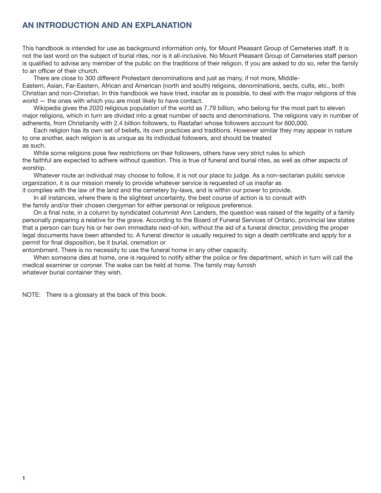# AN INTRODUCTION AND AN EXPLANATION

This handbook is intended for use as background information only, for Mount Pleasant Group of Cemeteries staff. It is not the last word on the subject of burial rites, nor is it all-inclusive. No Mount Pleasant Group of Cemeteries staff person is qualified to advise any member of the public on the traditions of their religion. If you are asked to do so, refer the family to an officer of their church.

 There are close to 300 different Protestant denominations and just as many, if not more, Middle-Eastern, Asian, Far-Eastern, African and American (north and south) religions, denominations, sects, cults, etc., both Christian and non-Christian. In this handbook we have tried, insofar as is possible, to deal with the major religions of this world — the ones with which you are most likely to have contact.

 Wikipedia gives the 2020 religious population of the world as 7.79 billion, who belong for the most part to eleven major religions, which in turn are divided into a great number of sects and denominations. The religions vary in number of adherents, from Christianity with 2.4 billion followers, to Rastafari whose followers account for 600,000.

 Each religion has its own set of beliefs, its own practices and traditions. However similar they may appear in nature to one another, each religion is as unique as its individual followers, and should be treated as such.

 While some religions pose few restrictions on their followers, others have very strict rules to which the faithful are expected to adhere without question. This is true of funeral and burial rites, as well as other aspects of worship.

 Whatever route an individual may choose to follow, it is not our place to judge. As a non-sectarian public service organization, it is our mission merely to provide whatever service is requested of us insofar as

it complies with the law of the land and the cemetery by-laws, and is within our power to provide.

 In all instances, where there is the slightest uncertainty, the best course of action is to consult with the family and/or their chosen clergyman for either personal or religious preference.

On a final note, in a column by syndicated columnist Ann Landers, the question was raised of the legality of a family personally preparing a relative for the grave. According to the Board of Funeral Services of Ontario, provincial law states that a person can bury his or her own immediate next-of-kin, without the aid of a funeral director, providing the proper legal documents have been attended to. A funeral director is usually required to sign a death certificate and apply for a permit for final disposition, be it burial, cremation or

entombment. There is no necessity to use the funeral home in any other capacity.

When someone dies at home, one is required to notify either the police or fire department, which in turn will call the medical examiner or coroner. The wake can be held at home. The family may furnish whatever burial container they wish.

NOTE: There is a glossary at the back of this book.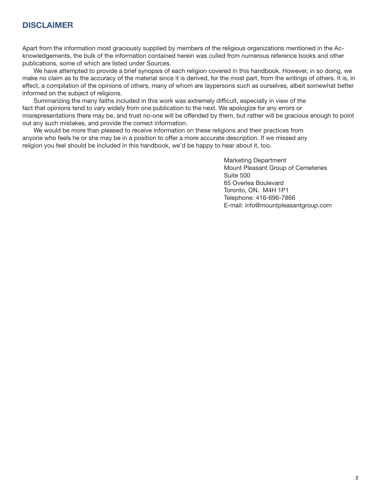## DISCI AIMER

Apart from the information most graciously supplied by members of the religious organizations mentioned in the Acknowledgements, the bulk of the information contained herein was culled from numerous reference books and other publications, some of which are listed under Sources.

 We have attempted to provide a brief synopsis of each religion covered in this handbook. However, in so doing, we make no claim as to the accuracy of the material since it is derived, for the most part, from the writings of others. It is, in effect, a compilation of the opinions of others, many of whom are laypersons such as ourselves, albeit somewhat better informed on the subject of religions.

Summarizing the many faiths included in this work was extremely difficult, especially in view of the fact that opinions tend to vary widely from one publication to the next. We apologize for any errors or misrepresentations there may be, and trust no-one will be offended by them, but rather will be gracious enough to point out any such mistakes, and provide the correct information.

 We would be more than pleased to receive information on these religions and their practices from anyone who feels he or she may be in a position to offer a more accurate description. If we missed any religion you feel should be included in this handbook, we'd be happy to hear about it, too.

 Marketing Department Mount Pleasant Group of Cemeteries Suite 500 65 Overlea Boulevard Toronto, ON. M4H 1P1 Telephone: 416-696-7866 E-mail: info@mountpleasantgroup.com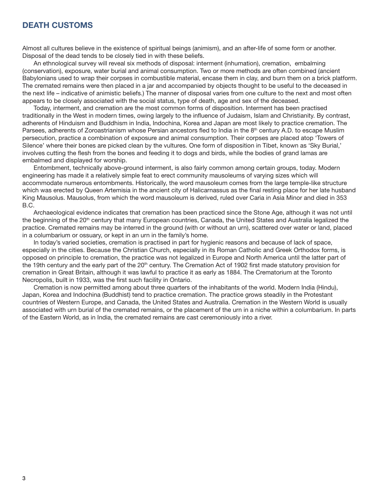## DEATH CUSTOMS

Almost all cultures believe in the existence of spiritual beings (animism), and an after-life of some form or another. Disposal of the dead tends to be closely tied in with these beliefs.

 An ethnological survey will reveal six methods of disposal: interment (inhumation), cremation, embalming (conservation), exposure, water burial and animal consumption. Two or more methods are often combined (ancient Babylonians used to wrap their corpses in combustible material, encase them in clay, and burn them on a brick platform. The cremated remains were then placed in a jar and accompanied by objects thought to be useful to the deceased in the next life – indicative of animistic beliefs.) The manner of disposal varies from one culture to the next and most often appears to be closely associated with the social status, type of death, age and sex of the deceased.

 Today, interment, and cremation are the most common forms of disposition. Interment has been practised traditionally in the West in modern times, owing largely to the influence of Judaism, Islam and Christianity. By contrast, adherents of Hinduism and Buddhism in India, Indochina, Korea and Japan are most likely to practice cremation. The Parsees, adherents of Zoroastrianism whose Persian ancestors fled to India in the 8<sup>th</sup> century A.D. to escape Muslim persecution, practice a combination of exposure and animal consumption. Their corpses are placed atop 'Towers of Silence' where their bones are picked clean by the vultures. One form of disposition in Tibet, known as 'Sky Burial,' involves cutting the flesh from the bones and feeding it to dogs and birds, while the bodies of grand lamas are embalmed and displayed for worship.

 Entombment, technically above-ground interment, is also fairly common among certain groups, today. Modern engineering has made it a relatively simple feat to erect community mausoleums of varying sizes which will accommodate numerous entombments. Historically, the word mausoleum comes from the large temple-like structure which was erected by Queen Artemisia in the ancient city of Halicarnassus as the final resting place for her late husband King Mausolus. Mausolus, from which the word mausoleum is derived, ruled over Caria in Asia Minor and died in 353 B.C.

 Archaeological evidence indicates that cremation has been practiced since the Stone Age, although it was not until the beginning of the 20th century that many European countries, Canada, the United States and Australia legalized the practice. Cremated remains may be interred in the ground (with or without an urn), scattered over water or land, placed in a columbarium or ossuary, or kept in an urn in the family's home.

 In today's varied societies, cremation is practised in part for hygienic reasons and because of lack of space, especially in the cities. Because the Christian Church, especially in its Roman Catholic and Greek Orthodox forms, is opposed on principle to cremation, the practice was not legalized in Europe and North America until the latter part of the 19th century and the early part of the  $20<sup>th</sup>$  century. The Cremation Act of 1902 first made statutory provision for cremation in Great Britain, although it was lawful to practice it as early as 1884. The Crematorium at the Toronto Necropolis, built in 1933, was the first such facility in Ontario.

 Cremation is now permitted among about three quarters of the inhabitants of the world. Modern India (Hindu), Japan, Korea and Indochina (Buddhist) tend to practice cremation. The practice grows steadily in the Protestant countries of Western Europe, and Canada, the United States and Australia. Cremation in the Western World is usually associated with urn burial of the cremated remains, or the placement of the urn in a niche within a columbarium. In parts of the Eastern World, as in India, the cremated remains are cast ceremoniously into a river.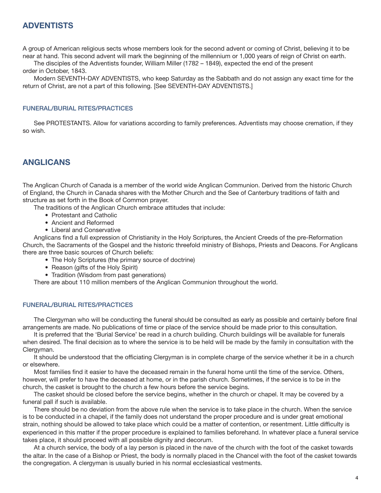## ADVENTISTS

A group of American religious sects whose members look for the second advent or coming of Christ, believing it to be near at hand. This second advent will mark the beginning of the millennium or 1,000 years of reign of Christ on earth.

 The disciples of the Adventists founder, William Miller (1782 – 1849), expected the end of the present order in October, 1843.

 Modern SEVENTH-DAY ADVENTISTS, who keep Saturday as the Sabbath and do not assign any exact time for the return of Christ, are not a part of this following. [See SEVENTH-DAY ADVENTISTS.]

#### FUNERAL/BURIAL RITES/PRACTICES

 See PROTESTANTS. Allow for variations according to family preferences. Adventists may choose cremation, if they so wish.

## ANGLICANS

The Anglican Church of Canada is a member of the world wide Anglican Communion. Derived from the historic Church of England, the Church in Canada shares with the Mother Church and the See of Canterbury traditions of faith and structure as set forth in the Book of Common prayer.

The traditions of the Anglican Church embrace attitudes that include:

- Protestant and Catholic
- Ancient and Reformed
- Liberal and Conservative

Anglicans find a full expression of Christianity in the Holy Scriptures, the Ancient Creeds of the pre-Reformation Church, the Sacraments of the Gospel and the historic threefold ministry of Bishops, Priests and Deacons. For Anglicans there are three basic sources of Church beliefs:

- The Holy Scriptures (the primary source of doctrine)
- Reason (gifts of the Holy Spirit)
- Tradition (Wisdom from past generations)

There are about 110 million members of the Anglican Communion throughout the world.

## FUNERAL/BURIAL RITES/PRACTICES

The Clergyman who will be conducting the funeral should be consulted as early as possible and certainly before final arrangements are made. No publications of time or place of the service should be made prior to this consultation.

 It is preferred that the 'Burial Service' be read in a church building. Church buildings will be available for funerals when desired. The final decision as to where the service is to be held will be made by the family in consultation with the Clergyman.

It should be understood that the officiating Clergyman is in complete charge of the service whether it be in a church or elsewhere.

Most families find it easier to have the deceased remain in the funeral home until the time of the service. Others, however, will prefer to have the deceased at home, or in the parish church. Sometimes, if the service is to be in the church, the casket is brought to the church a few hours before the service begins.

 The casket should be closed before the service begins, whether in the church or chapel. It may be covered by a funeral pall if such is available.

 There should be no deviation from the above rule when the service is to take place in the church. When the service is to be conducted in a chapel, if the family does not understand the proper procedure and is under great emotional strain, nothing should be allowed to take place which could be a matter of contention, or resentment. Little difficulty is experienced in this matter if the proper procedure is explained to families beforehand. In whatever place a funeral service takes place, it should proceed with all possible dignity and decorum.

 At a church service, the body of a lay person is placed in the nave of the church with the foot of the casket towards the altar. In the case of a Bishop or Priest, the body is normally placed in the Chancel with the foot of the casket towards the congregation. A clergyman is usually buried in his normal ecclesiastical vestments.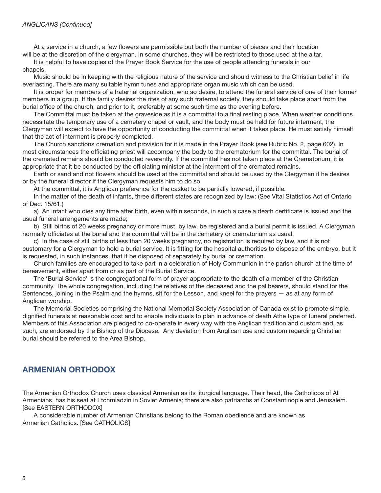#### ANGLICANS [Continued]

At a service in a church, a few flowers are permissible but both the number of pieces and their location will be at the discretion of the clergyman. In some churches, they will be restricted to those used at the altar.

 It is helpful to have copies of the Prayer Book Service for the use of people attending funerals in our chapels.

 Music should be in keeping with the religious nature of the service and should witness to the Christian belief in life everlasting. There are many suitable hymn tunes and appropriate organ music which can be used.

 It is proper for members of a fraternal organization, who so desire, to attend the funeral service of one of their former members in a group. If the family desires the rites of any such fraternal society, they should take place apart from the burial office of the church, and prior to it, preferably at some such time as the evening before.

The Committal must be taken at the graveside as it is a committal to a final resting place. When weather conditions necessitate the temporary use of a cemetery chapel or vault, and the body must be held for future interment, the Clergyman will expect to have the opportunity of conducting the committal when it takes place. He must satisfy himself that the act of interment is properly completed.

 The Church sanctions cremation and provision for it is made in the Prayer Book (see Rubric No. 2, page 602). In most circumstances the officiating priest will accompany the body to the crematorium for the committal. The burial of the cremated remains should be conducted reverently. If the committal has not taken place at the Crematorium, it is appropriate that it be conducted by the officiating minister at the interment of the cremated remains.

Earth or sand and not flowers should be used at the committal and should be used by the Clergyman if he desires or by the funeral director if the Clergyman requests him to do so.

At the committal, it is Anglican preference for the casket to be partially lowered, if possible.

 In the matter of the death of infants, three different states are recognized by law: (See Vital Statistics Act of Ontario of Dec. 15/61.)

a) An infant who dies any time after birth, even within seconds, in such a case a death certificate is issued and the usual funeral arrangements are made;

 b) Still births of 20 weeks pregnancy or more must, by law, be registered and a burial permit is issued. A Clergyman normally officiates at the burial and the committal will be in the cemetery or crematorium as usual;

 c) In the case of still births of less than 20 weeks pregnancy, no registration is required by law, and it is not customary for a Clergyman to hold a burial service. It is fitting for the hospital authorities to dispose of the embryo, but it is requested, in such instances, that it be disposed of separately by burial or cremation.

 Church families are encouraged to take part in a celebration of Holy Communion in the parish church at the time of bereavement, either apart from or as part of the Burial Service.

 The 'Burial Service' is the congregational form of prayer appropriate to the death of a member of the Christian community. The whole congregation, including the relatives of the deceased and the pallbearers, should stand for the Sentences, joining in the Psalm and the hymns, sit for the Lesson, and kneel for the prayers — as at any form of Anglican worship.

 The Memorial Societies comprising the National Memorial Society Association of Canada exist to promote simple, dignified funerals at reasonable cost and to enable individuals to plan in advance of death Athe type of funeral preferred. Members of this Association are pledged to co-operate in every way with the Anglican tradition and custom and, as such, are endorsed by the Bishop of the Diocese. Any deviation from Anglican use and custom regarding Christian burial should be referred to the Area Bishop.

## ARMENIAN ORTHODOX

The Armenian Orthodox Church uses classical Armenian as its liturgical language. Their head, the Catholicos of All Armenians, has his seat at Etchmiadzin in Soviet Armenia; there are also patriarchs at Constantinople and Jerusalem. [See EASTERN ORTHODOX]

 A considerable number of Armenian Christians belong to the Roman obedience and are known as Armenian Catholics. [See CATHOLICS]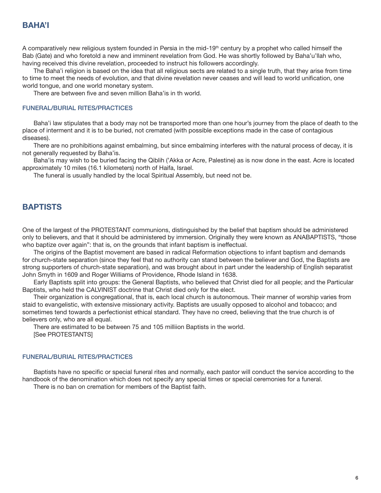## BAHA'I

A comparatively new religious system founded in Persia in the mid-19<sup>th</sup> century by a prophet who called himself the Bab (Gate) and who foretold a new and imminent revelation from God. He was shortly followed by Baha'u'llah who, having received this divine revelation, proceeded to instruct his followers accordingly.

 The Baha'i religion is based on the idea that all religious sects are related to a single truth, that they arise from time to time to meet the needs of evolution, and that divine revelation never ceases and will lead to world unification, one world tongue, and one world monetary system.

There are between five and seven million Baha'is in th world.

#### FUNERAL/BURIAL RITES/PRACTICES

 Baha'i law stipulates that a body may not be transported more than one hour's journey from the place of death to the place of interment and it is to be buried, not cremated (with possible exceptions made in the case of contagious diseases).

 There are no prohibitions against embalming, but since embalming interferes with the natural process of decay, it is not generally requested by Baha'is.

 Baha'is may wish to be buried facing the Qiblih ('Akka or Acre, Palestine) as is now done in the east. Acre is located approximately 10 miles (16.1 kilometers) north of Haifa, Israel.

The funeral is usually handled by the local Spiritual Assembly, but need not be.

## **BAPTISTS**

One of the largest of the PROTESTANT communions, distinguished by the belief that baptism should be administered only to believers, and that it should be administered by immersion. Originally they were known as ANABAPTISTS, "those who baptize over again": that is, on the grounds that infant baptism is ineffectual.

 The origins of the Baptist movement are based in radical Reformation objections to infant baptism and demands for church-state separation (since they feel that no authority can stand between the believer and God, the Baptists are strong supporters of church-state separation), and was brought about in part under the leadership of English separatist John Smyth in 1609 and Roger Williams of Providence, Rhode Island in 1638.

 Early Baptists split into groups: the General Baptists, who believed that Christ died for all people; and the Particular Baptists, who held the CALVINIST doctrine that Christ died only for the elect.

 Their organization is congregational, that is, each local church is autonomous. Their manner of worship varies from staid to evangelistic, with extensive missionary activity. Baptists are usually opposed to alcohol and tobacco; and sometimes tend towards a perfectionist ethical standard. They have no creed, believing that the true church is of believers only, who are all equal.

 There are estimated to be between 75 and 105 milliion Baptists in the world. [See PROTESTANTS]

#### FUNERAL/BURIAL RITES/PRACTICES

Baptists have no specific or special funeral rites and normally, each pastor will conduct the service according to the handbook of the denomination which does not specify any special times or special ceremonies for a funeral.

There is no ban on cremation for members of the Baptist faith.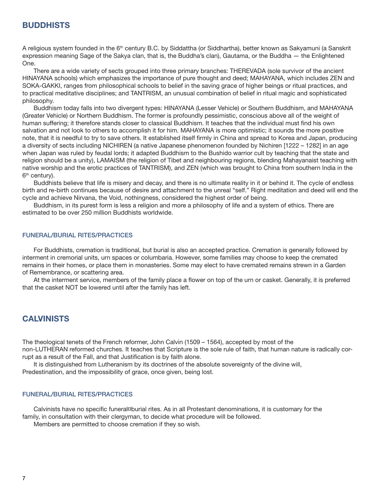## **BUDDHISTS**

A religious system founded in the 6<sup>th</sup> century B.C. by Siddattha (or Siddhartha), better known as Sakyamuni (a Sanskrit expression meaning Sage of the Sakya clan, that is, the Buddha's clan), Gautama, or the Buddha — the Enlightened One.

 There are a wide variety of sects grouped into three primary branches: THEREVADA (sole survivor of the ancient HINAYANA schools) which emphasizes the importance of pure thought and deed; MAHAYANA, which includes ZEN and SOKA-GAKKI, ranges from philosophical schools to belief in the saving grace of higher beings or ritual practices, and to practical meditative disciplines; and TANTRISM, an unusual combination of belief in ritual magic and sophisticated philosophy.

 Buddhism today falls into two divergent types: HINAYANA (Lesser Vehicle) or Southern Buddhism, and MAHAYANA (Greater Vehicle) or Northern Buddhism. The former is profoundly pessimistic, conscious above all of the weight of human suffering; it therefore stands closer to classical Buddhism. It teaches that the individual must find his own salvation and not look to others to accomplish it for him. MAHAYANA is more optimistic; it sounds the more positive note, that it is needful to try to save others. It established itself firmly in China and spread to Korea and Japan, producing a diversity of sects including NICHIREN (a native Japanese phenomenon founded by Nichiren [1222 – 1282] in an age when Japan was ruled by feudal lords; it adapted Buddhism to the Bushido warrior cult by teaching that the state and religion should be a unity), LAMAISM (the religion of Tibet and neighbouring regions, blending Mahayanaist teaching with native worship and the erotic practices of TANTRISM), and ZEN (which was brought to China from southern India in the 6<sup>th</sup> century).

 Buddhists believe that life is misery and decay, and there is no ultimate reality in it or behind it. The cycle of endless birth and re-birth continues because of desire and attachment to the unreal "self." Right meditation and deed will end the cycle and achieve Nirvana, the Void, nothingness, considered the highest order of being.

 Buddhism, in its purest form is less a religion and more a philosophy of life and a system of ethics. There are estimated to be over 250 million Buddhists worldwide.

#### FUNERAL/BURIAL RITES/PRACTICES

 For Buddhists, cremation is traditional, but burial is also an accepted practice. Cremation is generally followed by interment in cremorial units, urn spaces or columbaria. However, some families may choose to keep the cremated remains in their homes, or place them in monasteries. Some may elect to have cremated remains strewn in a Garden of Remembrance, or scattering area.

At the interment service, members of the family place a flower on top of the urn or casket. Generally, it is preferred that the casket NOT be lowered until after the family has left.

## **CALVINISTS**

The theological tenets of the French reformer, John Calvin (1509 – 1564), accepted by most of the non-LUTHERAN reformed churches. It teaches that Scripture is the sole rule of faith, that human nature is radically corrupt as a result of the Fall, and that Justification is by faith alone.

 It is distinguished from Lutheranism by its doctrines of the absolute sovereignty of the divine will, Predestination, and the impossibility of grace, once given, being lost.

#### FUNERAL/BURIAL RITES/PRACTICES

Calvinists have no specific funeral¤burial rites. As in all Protestant denominations, it is customary for the family, in consultation with their clergyman, to decide what procedure will be followed.

Members are permitted to choose cremation if they so wish.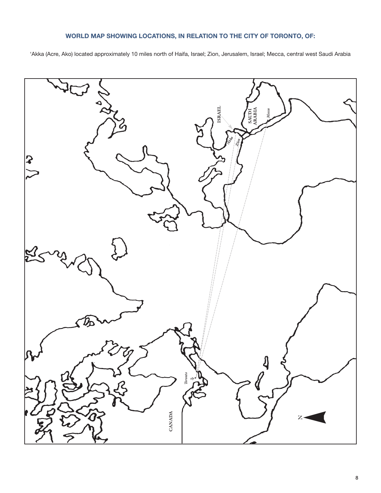## WORLD MAP SHOWING LOCATIONS, IN RELATION TO THE CITY OF TORONTO, OF:

'Akka (Acre, Ako) located approximately 10 miles north of Haifa, Israel; Zion, Jerusalem, Israel; Mecca, central west Saudi Arabia

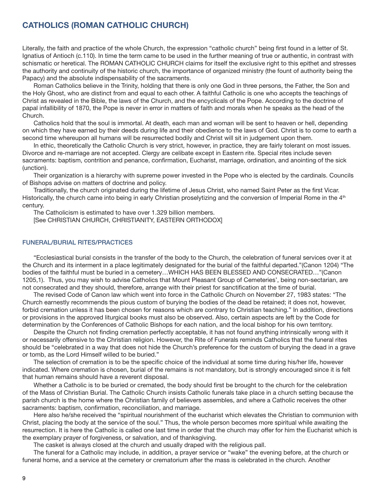## CATHOLICS (ROMAN CATHOLIC CHURCH)

Literally, the faith and practice of the whole Church, the expression "catholic church" being first found in a letter of St. Ignatius of Antioch (c.110). In time the term came to be used in the further meaning of true or authentic, in contrast with schismatic or heretical. The ROMAN CATHOLIC CHURCH claims for itself the exclusive right to this epithet and stresses the authority and continuity of the historic church, the importance of organized ministry (the fount of authority being the Papacy) and the absolute indispensability of the sacraments.

 Roman Catholics believe in the Trinity, holding that there is only one God in three persons, the Father, the Son and the Holy Ghost, who are distinct from and equal to each other. A faithful Catholic is one who accepts the teachings of Christ as revealed in the Bible, the laws of the Church, and the encyclicals of the Pope. According to the doctrine of papal infallibility of 1870, the Pope is never in error in matters of faith and morals when he speaks as the head of the Church.

 Catholics hold that the soul is immortal. At death, each man and woman will be sent to heaven or hell, depending on which they have earned by their deeds during life and their obedience to the laws of God. Christ is to come to earth a second time whereupon all humans will be resurrected bodily and Christ will sit in judgement upon them.

 In ethic, theoretically the Catholic Church is very strict, however, in practice, they are fairly tolerant on most issues. Divorce and re-marriage are not accepted. Clergy are celibate except in Eastern rite. Special rites include seven sacraments: baptism, contrition and penance, confirmation, Eucharist, marriage, ordination, and anointing of the sick (unction).

 Their organization is a hierarchy with supreme power invested in the Pope who is elected by the cardinals. Councils of Bishops advise on matters of doctrine and policy.

Traditionally, the church originated during the lifetime of Jesus Christ, who named Saint Peter as the first Vicar. Historically, the church came into being in early Christian proselytizing and the conversion of Imperial Rome in the 4<sup>th</sup> century.

 The Catholicism is estimated to have over 1.329 billion members. [See CHRISTIAN CHURCH, CHRISTIANITY, EASTERN ORTHODOX]

#### FUNERAL/BURIAL RITES/PRACTICES

 "Ecclesiastical burial consists in the transfer of the body to the Church, the celebration of funeral services over it at the Church and its interment in a place legitimately designated for the burial of the faithful departed."(Canon 1204) "The bodies of the faithful must be buried in a cemetery…WHICH HAS BEEN BLESSED AND CONSECRATED…"(Canon 1205,1). Thus, you may wish to advise Catholics that Mount Pleasant Group of Cemeteries', being non-sectarian, are not consecrated and they should, therefore, arrange with their priest for sanctification at the time of burial.

 The revised Code of Canon law which went into force in the Catholic Church on November 27, 1983 states: "The Church earnestly recommends the pious custom of burying the bodies of the dead be retained; it does not, however, forbid cremation unless it has been chosen for reasons which are contrary to Christian teaching." In addition, directions or provisions in the approved liturgical books must also be observed. Also, certain aspects are left by the Code for determination by the Conferences of Catholic Bishops for each nation, and the local bishop for his own territory.

Despite the Church not finding cremation perfectly acceptable, it has not found anything intrinsically wrong with it or necessarily offensive to the Christian religion. However, the Rite of Funerals reminds Catholics that the funeral rites should be "celebrated in a way that does not hide the Church's preference for the custom of burying the dead in a grave or tomb, as the Lord Himself willed to be buried."

The selection of cremation is to be the specific choice of the individual at some time during his/her life, however indicated. Where cremation is chosen, burial of the remains is not mandatory, but is strongly encouraged since it is felt that human remains should have a reverent disposal.

Whether a Catholic is to be buried or cremated, the body should first be brought to the church for the celebration of the Mass of Christian Burial. The Catholic Church insists Catholic funerals take place in a church setting because the parish church is the home where the Christian family of believers assembles, and where a Catholic receives the other sacraments: baptism, confirmation, reconciliation, and marriage.

 Here also he/she received the "spiritual nourishment of the eucharist which elevates the Christian to communion with Christ, placing the body at the service of the soul." Thus, the whole person becomes more spiritual while awaiting the resurrection. It is here the Catholic is called one last time in order that the church may offer for him the Eucharist which is the exemplary prayer of forgiveness, or salvation, and of thanksgiving.

The casket is always closed at the church and usually draped with the religious pall.

 The funeral for a Catholic may include, in addition, a prayer service or "wake" the evening before, at the church or funeral home, and a service at the cemetery or crematorium after the mass is celebrated in the church. Another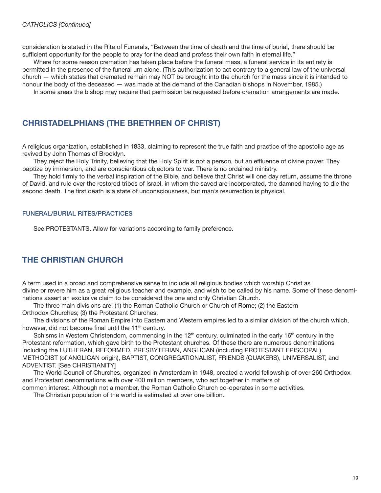consideration is stated in the Rite of Funerals, "Between the time of death and the time of burial, there should be sufficient opportunity for the people to pray for the dead and profess their own faith in eternal life."

 Where for some reason cremation has taken place before the funeral mass, a funeral service in its entirety is permitted in the presence of the funeral urn alone. (This authorization to act contrary to a general law of the universal church — which states that cremated remain may NOT be brought into the church for the mass since it is intended to honour the body of the deceased — was made at the demand of the Canadian bishops in November, 1985.)

In some areas the bishop may require that permission be requested before cremation arrangements are made.

## CHRISTADELPHIANS (THE BRETHREN OF CHRIST)

A religious organization, established in 1833, claiming to represent the true faith and practice of the apostolic age as revived by John Thomas of Brooklyn.

They reject the Holy Trinity, believing that the Holy Spirit is not a person, but an effluence of divine power. They baptize by immersion, and are conscientious objectors to war. There is no ordained ministry.

They hold firmly to the verbal inspiration of the Bible, and believe that Christ will one day return, assume the throne of David, and rule over the restored tribes of Israel, in whom the saved are incorporated, the damned having to die the second death. The first death is a state of unconsciousness, but man's resurrection is physical.

#### FUNERAL/BURIAL RITES/PRACTICES

See PROTESTANTS. Allow for variations according to family preference.

## THE CHRISTIAN CHURCH

A term used in a broad and comprehensive sense to include all religious bodies which worship Christ as divine or revere him as a great religious teacher and example, and wish to be called by his name. Some of these denominations assert an exclusive claim to be considered the one and only Christian Church.

 The three main divisions are: (1) the Roman Catholic Church or Church of Rome; (2) the Eastern Orthodox Churches; (3) the Protestant Churches.

 The divisions of the Roman Empire into Eastern and Western empires led to a similar division of the church which, however, did not become final until the 11<sup>th</sup> century.

Schisms in Western Christendom, commencing in the  $12<sup>th</sup>$  century, culminated in the early 16<sup>th</sup> century in the Protestant reformation, which gave birth to the Protestant churches. Of these there are numerous denominations including the LUTHERAN, REFORMED, PRESBYTERIAN, ANGLICAN (including PROTESTANT EPISCOPAL), METHODIST (of ANGLICAN origin), BAPTIST, CONGREGATIONALIST, FRIENDS (QUAKERS), UNIVERSALIST, and ADVENTIST. [See CHRISTIANITY]

 The World Council of Churches, organized in Amsterdam in 1948, created a world fellowship of over 260 Orthodox and Protestant denominations with over 400 million members, who act together in matters of

common interest. Although not a member, the Roman Catholic Church co-operates in some activities.

The Christian population of the world is estimated at over one billion.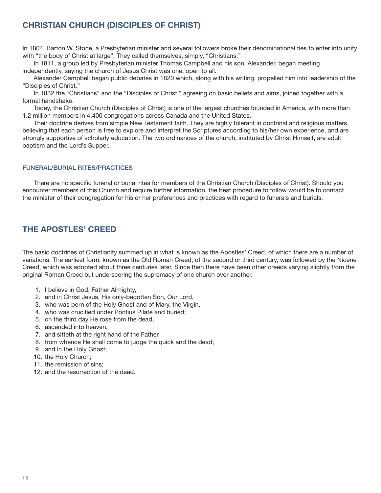# CHRISTIAN CHURCH (DISCIPLES OF CHRIST)

In 1804, Barton W. Stone, a Presbyterian minister and several followers broke their denominational ties to enter into unity with "the body of Christ at large". They called themselves, simply, "Christians."

 In 1811, a group led by Presbyterian minister Thomas Campbell and his son, Alexander, began meeting independently, saying the church of Jesus Christ was one, open to all.

 Alexander Campbell began public debates in 1820 which, along with his writing, propelled him into leadership of the "Disciples of Christ."

 In 1832 the "Christians" and the "Disciples of Christ," agreeing on basic beliefs and aims, joined together with a formal handshake.

 Today, the Christian Church (Disciples of Christ) is one of the largest churches founded in America, with more than 1.2 million members in 4,400 congregations across Canada and the United States.

 Their doctrine derives from simple New Testament faith. They are highly tolerant in doctrinal and religious matters, believing that each person is free to explore and interpret the Scriptures according to his/her own experience, and are strongly supportive of scholarly education. The two ordinances of the church, instituted by Christ Himself, are adult baptism and the Lord's Supper.

## FUNERAL/BURIAL RITES/PRACTICES

There are no specific funeral or burial rites for members of the Christian Church (Disciples of Christ). Should you encounter members of this Church and require further information, the best procedure to follow would be to contact the minister of their congregation for his or her preferences and practices with regard to funerals and burials.

# THE APOSTLES' CREED

The basic doctrines of Christianity summed up in what is known as the Apostles' Creed, of which there are a number of variations. The earliest form, known as the Old Roman Creed, of the second or third century, was followed by the Nicene Creed, which was adopted about three centuries later. Since then there have been other creeds varying slightly from the original Roman Creed but underscoring the supremacy of one church over another.

- 1. I believe in God, Father Almighty,
- 2. and in Christ Jesus, His only-begotten Son, Our Lord,
- 3. who was born of the Holy Ghost and of Mary, the Virgin,
- 4. who was crucified under Pontius Pilate and buried;
- 5. on the third day He rose from the dead,
- 6. ascended into heaven,
- 7. and sitteth at the right hand of the Father,
- 8. from whence He shall come to judge the quick and the dead;
- 9. and in the Holy Ghost;
- 10. the Holy Church;
- 11. the remission of sins;
- 12. and the resurrection of the dead.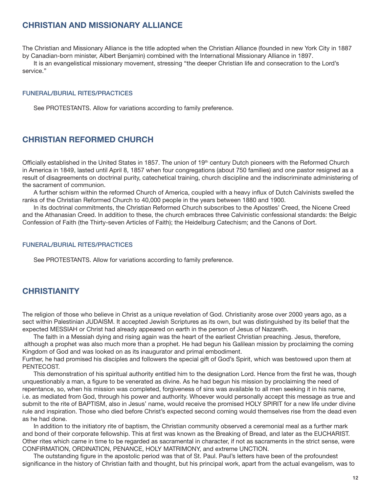## CHRISTIAN AND MISSIONARY ALLIANCE

The Christian and Missionary Alliance is the title adopted when the Christian Alliance (founded in new York City in 1887 by Canadian-born minister, Albert Benjamin) combined with the International Missionary Alliance in 1897.

 It is an evangelistical missionary movement, stressing "the deeper Christian life and consecration to the Lord's service."

#### FUNERAL/BURIAL RITES/PRACTICES

See PROTESTANTS. Allow for variations according to family preference.

## CHRISTIAN REFORMED CHURCH

Officially established in the United States in 1857. The union of 19<sup>th</sup> century Dutch pioneers with the Reformed Church in America in 1849, lasted until April 8, 1857 when four congregations (about 750 families) and one pastor resigned as a result of disagreements on doctrinal purity, catechetical training, church discipline and the indiscriminate administering of the sacrament of communion.

A further schism within the reformed Church of America, coupled with a heavy influx of Dutch Calvinists swelled the ranks of the Christian Reformed Church to 40,000 people in the years between 1880 and 1900.

 In its doctrinal commitments, the Christian Reformed Church subscribes to the Apostles' Creed, the Nicene Creed and the Athanasian Creed. In addition to these, the church embraces three Calvinistic confessional standards: the Belgic Confession of Faith (the Thirty-seven Articles of Faith); the Heidelburg Catechism; and the Canons of Dort.

#### FUNERAL/BURIAL RITES/PRACTICES

See PROTESTANTS. Allow for variations according to family preference.

## **CHRISTIANITY**

The religion of those who believe in Christ as a unique revelation of God. Christianity arose over 2000 years ago, as a sect within Palestinian JUDAISM. It accepted Jewish Scriptures as its own, but was distinguished by its belief that the expected MESSIAH or Christ had already appeared on earth in the person of Jesus of Nazareth.

 The faith in a Messiah dying and rising again was the heart of the earliest Christian preaching. Jesus, therefore, although a prophet was also much more than a prophet. He had begun his Galilean mission by proclaiming the coming Kingdom of God and was looked on as its inaugurator and primal embodiment.

Further, he had promised his disciples and followers the special gift of God's Spirit, which was bestowed upon them at PENTECOST.

This demonstration of his spiritual authority entitled him to the designation Lord. Hence from the first he was, though unquestionably a man, a figure to be venerated as divine. As he had begun his mission by proclaiming the need of repentance, so, when his mission was completed, forgiveness of sins was available to all men seeking it in his name, i.e. as mediated from God, through his power and authority. Whoever would personally accept this message as true and submit to the rite of BAPTISM, also in Jesus' name, would receive the promised HOLY SPIRIT for a new life under divine rule and inspiration. Those who died before Christ's expected second coming would themselves rise from the dead even as he had done.

 In addition to the initiatory rite of baptism, the Christian community observed a ceremonial meal as a further mark and bond of their corporate fellowship. This at first was known as the Breaking of Bread, and later as the EUCHARIST. Other rites which came in time to be regarded as sacramental in character, if not as sacraments in the strict sense, were CONFIRMATION, ORDINATION, PENANCE, HOLY MATRIMONY, and extreme UNCTION.

The outstanding figure in the apostolic period was that of St. Paul. Paul's letters have been of the profoundest significance in the history of Christian faith and thought, but his principal work, apart from the actual evangelism, was to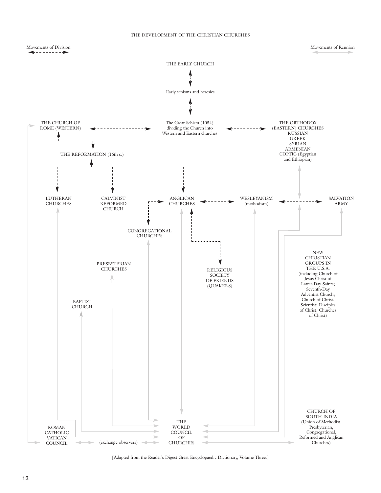#### THE DEVELOPMENT OF THE CHRISTIAN CHURCHES



<sup>[</sup>Adapted from the Reader's Digest Great Encyclopaedic Dictionary, Volume Three.]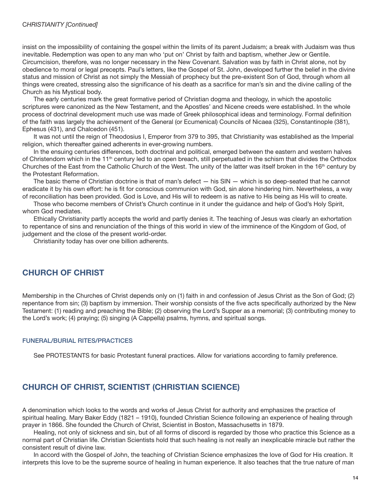insist on the impossibility of containing the gospel within the limits of its parent Judaism; a break with Judaism was thus inevitable. Redemption was open to any man who 'put on' Christ by faith and baptism, whether Jew or Gentile. Circumcision, therefore, was no longer necessary in the New Covenant. Salvation was by faith in Christ alone, not by obedience to moral or legal precepts. Paul's letters, like the Gospel of St. John, developed further the belief in the divine status and mission of Christ as not simply the Messiah of prophecy but the pre-existent Son of God, through whom all things were created, stressing also the significance of his death as a sacrifice for man's sin and the divine calling of the Church as his Mystical body.

 The early centuries mark the great formative period of Christian dogma and theology, in which the apostolic scriptures were canonized as the New Testament, and the Apostles' and Nicene creeds were established. In the whole process of doctrinal development much use was made of Greek philosophical ideas and terminology. Formal definition of the faith was largely the achievement of the General (or Ecumenical) Councils of Nicaea (325), Constantinople (381), Ephesus (431), and Chalcedon (451).

 It was not until the reign of Theodosius I, Emperor from 379 to 395, that Christianity was established as the Imperial religion, which thereafter gained adherents in ever-growing numbers.

 In the ensuing centuries differences, both doctrinal and political, emerged between the eastern and western halves of Christendom which in the 11<sup>th</sup> century led to an open breach, still perpetuated in the schism that divides the Orthodox Churches of the East from the Catholic Church of the West. The unity of the latter was itself broken in the 16<sup>th</sup> century by the Protestant Reformation.

 The basic theme of Christian doctrine is that of man's defect — his SIN — which is so deep-seated that he cannot eradicate it by his own effort: he is fit for conscious communion with God, sin alone hindering him. Nevertheless, a way of reconciliation has been provided. God is Love, and His will to redeem is as native to His being as His will to create.

 Those who become members of Christ's Church continue in it under the guidance and help of God's Holy Spirit, whom God mediates.

 Ethically Christianity partly accepts the world and partly denies it. The teaching of Jesus was clearly an exhortation to repentance of sins and renunciation of the things of this world in view of the imminence of the Kingdom of God, of judgement and the close of the present world-order.

Christianity today has over one billion adherents.

# CHURCH OF CHRIST

Membership in the Churches of Christ depends only on (1) faith in and confession of Jesus Christ as the Son of God; (2) repentance from sin; (3) baptism by immersion. Their worship consists of the five acts specifically authorized by the New Testament: (1) reading and preaching the Bible; (2) observing the Lord's Supper as a memorial; (3) contributing money to the Lord's work; (4) praying; (5) singing (A Cappella) psalms, hymns, and spiritual songs.

## FUNERAL/BURIAL RITES/PRACTICES

See PROTESTANTS for basic Protestant funeral practices. Allow for variations according to family preference.

# CHURCH OF CHRIST, SCIENTIST (CHRISTIAN SCIENCE)

A denomination which looks to the words and works of Jesus Christ for authority and emphasizes the practice of spiritual healing. Mary Baker Eddy (1821 – 1910), founded Christian Science following an experience of healing through prayer in 1866. She founded the Church of Christ, Scientist in Boston, Massachusetts in 1879.

 Healing, not only of sickness and sin, but of all forms of discord is regarded by those who practice this Science as a normal part of Christian life. Christian Scientists hold that such healing is not really an inexplicable miracle but rather the consistent result of divine law.

 In accord with the Gospel of John, the teaching of Christian Science emphasizes the love of God for His creation. It interprets this love to be the supreme source of healing in human experience. It also teaches that the true nature of man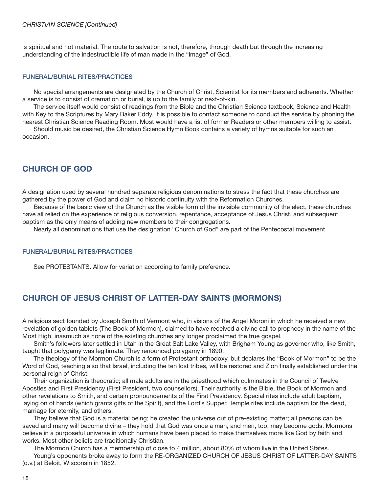#### CHRISTIAN SCIENCE [Continued]

is spiritual and not material. The route to salvation is not, therefore, through death but through the increasing understanding of the indestructible life of man made in the "image" of God.

#### FUNERAL/BURIAL RITES/PRACTICES

 No special arrangements are designated by the Church of Christ, Scientist for its members and adherents. Whether a service is to consist of cremation or burial, is up to the family or next-of-kin.

 The service itself would consist of readings from the Bible and the Christian Science textbook, Science and Health with Key to the Scriptures by Mary Baker Eddy. It is possible to contact someone to conduct the service by phoning the nearest Christian Science Reading Room. Most would have a list of former Readers or other members willing to assist.

 Should music be desired, the Christian Science Hymn Book contains a variety of hymns suitable for such an occasion.

# CHURCH OF GOD

A designation used by several hundred separate religious denominations to stress the fact that these churches are gathered by the power of God and claim no historic continuity with the Reformation Churches.

 Because of the basic view of the Church as the visible form of the invisible community of the elect, these churches have all relied on the experience of religious conversion, repentance, acceptance of Jesus Christ, and subsequent baptism as the only means of adding new members to their congregations.

Nearly all denominations that use the designation "Church of God" are part of the Pentecostal movement.

#### FUNERAL/BURIAL RITES/PRACTICES

See PROTESTANTS. Allow for variation according to family preference.

## CHURCH OF JESUS CHRIST OF LATTER-DAY SAINTS (MORMONS)

A religious sect founded by Joseph Smith of Vermont who, in visions of the Angel Moroni in which he received a new revelation of golden tablets (The Book of Mormon), claimed to have received a divine call to prophecy in the name of the Most High, inasmuch as none of the existing churches any longer proclaimed the true gospel.

 Smith's followers later settled in Utah in the Great Salt Lake Valley, with Brigham Young as governor who, like Smith, taught that polygamy was legitimate. They renounced polygamy in 1890.

 The theology of the Mormon Church is a form of Protestant orthodoxy, but declares the "Book of Mormon" to be the Word of God, teaching also that Israel, including the ten lost tribes, will be restored and Zion finally established under the personal reign of Christ.

 Their organization is theocratic; all male adults are in the priesthood which culminates in the Council of Twelve Apostles and First Presidency (First President, two counsellors). Their authority is the Bible, the Book of Mormon and other revelations to Smith, and certain pronouncements of the First Presidency. Special rites include adult baptism, laying on of hands (which grants gifts of the Spirit), and the Lord's Supper. Temple rites include baptism for the dead, marriage for eternity, and others.

 They believe that God is a material being; he created the universe out of pre-existing matter; all persons can be saved and many will become divine – they hold that God was once a man, and men, too, may become gods. Mormons believe in a purposeful universe in which humans have been placed to make themselves more like God by faith and works. Most other beliefs are traditionally Christian.

 The Mormon Church has a membership of close to 4 million, about 80% of whom live in the United States. Young's opponents broke away to form the RE-ORGANIZED CHURCH OF JESUS CHRIST OF LATTER-DAY SAINTS

(q.v.) at Beloit, Wisconsin in 1852.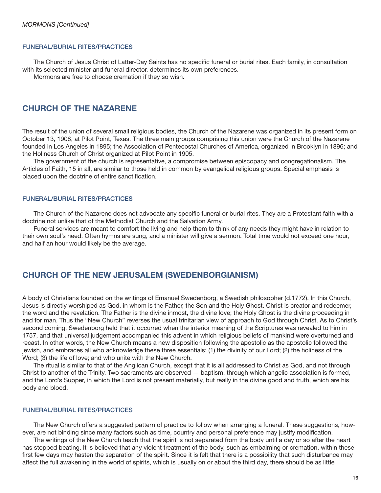#### FUNERAL/BURIAL RITES/PRACTICES

The Church of Jesus Christ of Latter-Day Saints has no specific funeral or burial rites. Each family, in consultation with its selected minister and funeral director, determines its own preferences.

Mormons are free to choose cremation if they so wish.

## CHURCH OF THE NAZARENE

The result of the union of several small religious bodies, the Church of the Nazarene was organized in its present form on October 13, 1908, at Pilot Point, Texas. The three main groups comprising this union were the Church of the Nazarene founded in Los Angeles in 1895; the Association of Pentecostal Churches of America, organized in Brooklyn in 1896; and the Holiness Church of Christ organized at Pilot Point in 1905.

 The government of the church is representative, a compromise between episcopacy and congregationalism. The Articles of Faith, 15 in all, are similar to those held in common by evangelical religious groups. Special emphasis is placed upon the doctrine of entire sanctification.

## FUNERAL/BURIAL RITES/PRACTICES

The Church of the Nazarene does not advocate any specific funeral or burial rites. They are a Protestant faith with a doctrine not unlike that of the Methodist Church and the Salvation Army.

 Funeral services are meant to comfort the living and help them to think of any needs they might have in relation to their own soul's need. Often hymns are sung, and a minister will give a sermon. Total time would not exceed one hour, and half an hour would likely be the average.

## CHURCH OF THE NEW JERUSALEM (SWEDENBORGIANISM)

A body of Christians founded on the writings of Emanuel Swedenborg, a Swedish philosopher (d.1772). In this Church, Jesus is directly worshiped as God, in whom is the Father, the Son and the Holy Ghost. Christ is creator and redeemer, the word and the revelation. The Father is the divine inmost, the divine love; the Holy Ghost is the divine proceeding in and for man. Thus the "New Church" reverses the usual trinitarian view of approach to God through Christ. As to Christ's second coming, Swedenborg held that it occurred when the interior meaning of the Scriptures was revealed to him in 1757, and that universal judgement accompanied this advent in which religious beliefs of mankind were overturned and recast. In other words, the New Church means a new disposition following the apostolic as the apostolic followed the jewish, and embraces all who acknowledge these three essentials: (1) the divinity of our Lord; (2) the holiness of the Word; (3) the life of love; and who unite with the New Church.

 The ritual is similar to that of the Anglican Church, except that it is all addressed to Christ as God, and not through Christ to another of the Trinity. Two sacraments are observed — baptism, through which angelic association is formed, and the Lord's Supper, in which the Lord is not present materially, but really in the divine good and truth, which are his body and blood.

#### FUNERAL/BURIAL RITES/PRACTICES

 The New Church offers a suggested pattern of practice to follow when arranging a funeral. These suggestions, however, are not binding since many factors such as time, country and personal preference may justify modification.

 The writings of the New Church teach that the spirit is not separated from the body until a day or so after the heart has stopped beating. It is believed that any violent treatment of the body, such as embalming or cremation, within these first few days may hasten the separation of the spirit. Since it is felt that there is a possibility that such disturbance may affect the full awakening in the world of spirits, which is usually on or about the third day, there should be as little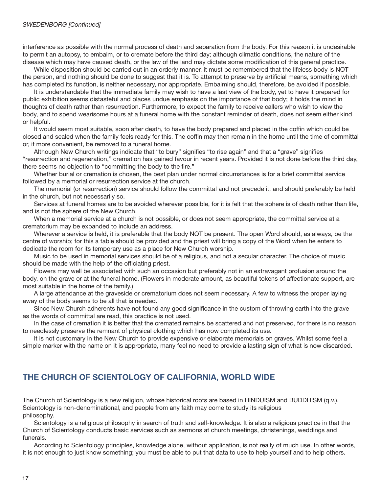interference as possible with the normal process of death and separation from the body. For this reason it is undesirable to permit an autopsy, to embalm, or to cremate before the third day; although climatic conditions, the nature of the disease which may have caused death, or the law of the land may dictate some modification of this general practice.

 While disposition should be carried out in an orderly manner, it must be remembered that the lifeless body is NOT the person, and nothing should be done to suggest that it is. To attempt to preserve by artificial means, something which has completed its function, is neither necessary, nor appropriate. Embalming should, therefore, be avoided if possible.

 It is understandable that the immediate family may wish to have a last view of the body, yet to have it prepared for public exhibition seems distasteful and places undue emphasis on the importance of that body; it holds the mind in thoughts of death rather than resurrection. Furthermore, to expect the family to receive callers who wish to view the body, and to spend wearisome hours at a funeral home with the constant reminder of death, does not seem either kind or helpful.

It would seem most suitable, soon after death, to have the body prepared and placed in the coffin which could be closed and sealed when the family feels ready for this. The coffin may then remain in the home until the time of committal or, if more convenient, be removed to a funeral home.

Although New Church writings indicate that "to bury" signifies "to rise again" and that a "grave" signifies "resurrection and regeneration," cremation has gained favour in recent years. Provided it is not done before the third day, there seems no objection to "committing the body to the fire."

 Whether burial or cremation is chosen, the best plan under normal circumstances is for a brief committal service followed by a memorial or resurrection service at the church.

 The memorial (or resurrection) service should follow the committal and not precede it, and should preferably be held in the church, but not necessarily so.

 Services at funeral homes are to be avoided wherever possible, for it is felt that the sphere is of death rather than life, and is not the sphere of the New Church.

 When a memorial service at a church is not possible, or does not seem appropriate, the committal service at a crematorium may be expanded to include an address.

 Wherever a service is held, it is preferable that the body NOT be present. The open Word should, as always, be the centre of worship; for this a table should be provided and the priest will bring a copy of the Word when he enters to dedicate the room for its temporary use as a place for New Church worship.

 Music to be used in memorial services should be of a religious, and not a secular character. The choice of music should be made with the help of the officiating priest.

 Flowers may well be associated with such an occasion but preferably not in an extravagant profusion around the body, on the grave or at the funeral home. (Flowers in moderate amount, as beautiful tokens of affectionate support, are most suitable in the home of the family.)

 A large attendance at the graveside or crematorium does not seem necessary. A few to witness the proper laying away of the body seems to be all that is needed.

Since New Church adherents have not found any good significance in the custom of throwing earth into the grave as the words of committal are read, this practice is not used.

 In the case of cremation it is better that the cremated remains be scattered and not preserved, for there is no reason to needlessly preserve the remnant of physical clothing which has now completed its use.

 It is not customary in the New Church to provide expensive or elaborate memorials on graves. Whilst some feel a simple marker with the name on it is appropriate, many feel no need to provide a lasting sign of what is now discarded.

# THE CHURCH OF SCIENTOLOGY OF CALIFORNIA, WORLD WIDE

The Church of Scientology is a new religion, whose historical roots are based in HINDUISM and BUDDHISM (q.v.). Scientology is non-denominational, and people from any faith may come to study its religious philosophy.

 Scientology is a religious philosophy in search of truth and self-knowledge. It is also a religious practice in that the Church of Scientology conducts basic services such as sermons at church meetings, christenings, weddings and funerals.

 According to Scientology principles, knowledge alone, without application, is not really of much use. In other words, it is not enough to just know something; you must be able to put that data to use to help yourself and to help others.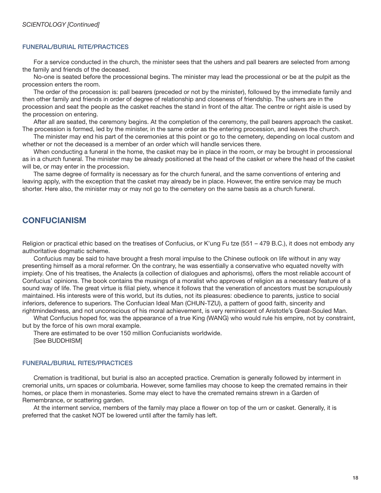#### FUNERAL/BURIAL RITE/PRACTICES

 For a service conducted in the church, the minister sees that the ushers and pall bearers are selected from among the family and friends of the deceased.

 No-one is seated before the processional begins. The minister may lead the processional or be at the pulpit as the procession enters the room.

 The order of the procession is: pall bearers (preceded or not by the minister), followed by the immediate family and then other family and friends in order of degree of relationship and closeness of friendship. The ushers are in the procession and seat the people as the casket reaches the stand in front of the altar. The centre or right aisle is used by the procession on entering.

 After all are seated, the ceremony begins. At the completion of the ceremony, the pall bearers approach the casket. The procession is formed, led by the minister, in the same order as the entering procession, and leaves the church.

 The minister may end his part of the ceremonies at this point or go to the cemetery, depending on local custom and whether or not the deceased is a member of an order which will handle services there.

When conducting a funeral in the home, the casket may be in place in the room, or may be brought in processional as in a church funeral. The minister may be already positioned at the head of the casket or where the head of the casket will be, or may enter in the procession.

 The same degree of formality is necessary as for the church funeral, and the same conventions of entering and leaving apply, with the exception that the casket may already be in place. However, the entire service may be much shorter. Here also, the minister may or may not go to the cemetery on the same basis as a church funeral.

## **CONFUCIANISM**

Religion or practical ethic based on the treatises of Confucius, or K'ung Fu tze (551 – 479 B.C.), it does not embody any authoritative dogmatic scheme.

 Confucius may be said to have brought a fresh moral impulse to the Chinese outlook on life without in any way presenting himself as a moral reformer. On the contrary, he was essentially a conservative who equated novelty with impiety. One of his treatises, the Analects (a collection of dialogues and aphorisms), offers the most reliable account of Confucius' opinions. The book contains the musings of a moralist who approves of religion as a necessary feature of a sound way of life. The great virtue is filial piety, whence it follows that the veneration of ancestors must be scrupulously maintained. His interests were of this world, but its duties, not its pleasures: obedience to parents, justice to social inferiors, deference to superiors. The Confucian Ideal Man (CHUN-TZU), a pattern of good faith, sincerity and rightmindedness, and not unconscious of his moral achievement, is very reminiscent of Aristotle's Great-Souled Man.

 What Confucius hoped for, was the appearance of a true King (WANG) who would rule his empire, not by constraint, but by the force of his own moral example.

 There are estimated to be over 150 million Confucianists worldwide. [See BUDDHISM]

#### FUNERAL/BURIAL RITES/PRACTICES

 Cremation is traditional, but burial is also an accepted practice. Cremation is generally followed by interment in cremorial units, urn spaces or columbaria. However, some families may choose to keep the cremated remains in their homes, or place them in monasteries. Some may elect to have the cremated remains strewn in a Garden of Remembrance, or scattering garden.

At the interment service, members of the family may place a flower on top of the urn or casket. Generally, it is preferred that the casket NOT be lowered until after the family has left.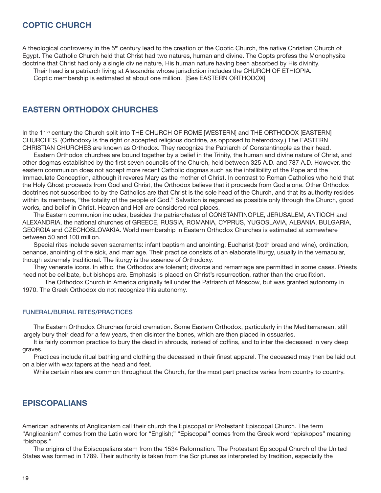## COPTIC CHURCH

A theological controversy in the  $5<sup>th</sup>$  century lead to the creation of the Coptic Church, the native Christian Church of Egypt. The Catholic Church held that Christ had two natures, human and divine. The Copts profess the Monophysite doctrine that Christ had only a single divine nature, His human nature having been absorbed by His divinity.

 Their head is a patriarch living at Alexandria whose jurisdiction includes the CHURCH OF ETHIOPIA. Coptic membership is estimated at about one million. [See EASTERN ORTHODOX]

EASTERN ORTHODOX CHURCHES

In the 11<sup>th</sup> century the Church split into THE CHURCH OF ROME [WESTERN] and THE ORTHODOX [EASTERN] CHURCHES. (Orthodoxy is the right or accepted religious doctrine, as opposed to heterodoxy.) The EASTERN CHRISTIAN CHURCHES are known as Orthodox. They recognize the Patriarch of Constantinople as their head.

 Eastern Orthodox churches are bound together by a belief in the Trinity, the human and divine nature of Christ, and other dogmas established by the first seven councils of the Church, held between 325 A.D. and 787 A.D. However, the eastern communion does not accept more recent Catholic dogmas such as the infallibility of the Pope and the Immaculate Conception, although it reveres Mary as the mother of Christ. In contrast to Roman Catholics who hold that the Holy Ghost proceeds from God and Christ, the Orthodox believe that it proceeds from God alone. Other Orthodox doctrines not subscribed to by the Catholics are that Christ is the sole head of the Church, and that its authority resides within its members, "the totality of the people of God." Salvation is regarded as possible only through the Church, good works, and belief in Christ. Heaven and Hell are considered real places.

 The Eastern communion includes, besides the patriarchates of CONSTANTINOPLE, JERUSALEM, ANTIOCH and ALEXANDRIA, the national churches of GREECE, RUSSIA, ROMANIA, CYPRUS, YUGOSLAVIA, ALBANIA, BULGARIA, GEORGIA and CZECHOSLOVAKIA. World membership in Eastern Orthodox Churches is estimated at somewhere between 50 and 100 million.

 Special rites include seven sacraments: infant baptism and anointing, Eucharist (both bread and wine), ordination, penance, anointing of the sick, and marriage. Their practice consists of an elaborate liturgy, usually in the vernacular, though extremely traditional. The liturgy is the essence of Orthodoxy.

 They venerate icons. In ethic, the Orthodox are tolerant; divorce and remarriage are permitted in some cases. Priests need not be celibate, but bishops are. Emphasis is placed on Christ's resurrection, rather than the crucifixion.

 The Orthodox Church in America originally fell under the Patriarch of Moscow, but was granted autonomy in 1970. The Greek Orthodox do not recognize this autonomy.

#### FUNERAL/BURIAL RITES/PRACTICES

 The Eastern Orthodox Churches forbid cremation. Some Eastern Orthodox, particularly in the Mediterranean, still largely bury their dead for a few years, then disinter the bones, which are then placed in ossuaries.

It is fairly common practice to bury the dead in shrouds, instead of coffins, and to inter the deceased in very deep graves.

Practices include ritual bathing and clothing the deceased in their finest apparel. The deceased may then be laid out on a bier with wax tapers at the head and feet.

While certain rites are common throughout the Church, for the most part practice varies from country to country.

## EPISCOPALIANS

American adherents of Anglicanism call their church the Episcopal or Protestant Episcopal Church. The term "Anglicanism" comes from the Latin word for "English;" "Episcopal" comes from the Greek word "episkopos" meaning "bishops."

 The origins of the Episcopalians stem from the 1534 Reformation. The Protestant Episcopal Church of the United States was formed in 1789. Their authority is taken from the Scriptures as interpreted by tradition, especially the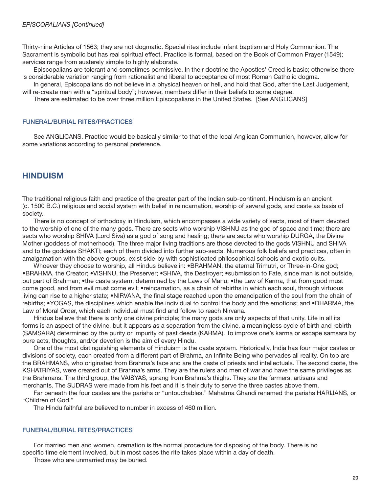Thirty-nine Articles of 1563; they are not dogmatic. Special rites include infant baptism and Holy Communion. The Sacrament is symbolic but has real spiritual effect. Practice is formal, based on the Book of Common Prayer (1549); services range from austerely simple to highly elaborate.

 Episcopalians are tolerant and sometimes permissive. In their doctrine the Apostles' Creed is basic; otherwise there is considerable variation ranging from rationalist and liberal to acceptance of most Roman Catholic dogma.

 In general, Episcopalians do not believe in a physical heaven or hell, and hold that God, after the Last Judgement, will re-create man with a "spiritual body"; however, members differ in their beliefs to some degree.

There are estimated to be over three million Episcopalians in the United States. [See ANGLICANS]

#### FUNERAL/BURIAL RITES/PRACTICES

 See ANGLICANS. Practice would be basically similar to that of the local Anglican Communion, however, allow for some variations according to personal preference.

## **HINDUISM**

The traditional religious faith and practice of the greater part of the Indian sub-continent, Hinduism is an ancient (c. 1500 B.C.) religious and social system with belief in reincarnation, worship of several gods, and caste as basis of society.

 There is no concept of orthodoxy in Hinduism, which encompasses a wide variety of sects, most of them devoted to the worship of one of the many gods. There are sects who worship VISHNU as the god of space and time; there are sects who worship SHIVA (Lord Siva) as a god of song and healing; there are sects who worship DURGA, the Divine Mother (goddess of motherhood). The three major living traditions are those devoted to the gods VISHNU and SHIVA and to the goddess SHAKTI; each of them divided into further sub-sects. Numerous folk beliefs and practices, often in amalgamation with the above groups, exist side-by with sophisticated philosophical schools and exotic cults.

Whoever they choose to worship, all Hindus believe in: •BRAHMAN, the eternal Trimutri, or Three-in-One god; •BRAHMA, the Creator; •VISHNU, the Preserver; •SHIVA, the Destroyer; •submission to Fate, since man is not outside, but part of Brahman; •the caste system, determined by the Laws of Manu; •the Law of Karma, that from good must come good, and from evil must come evil; •reincarnation, as a chain of rebirths in which each soul, through virtuous living can rise to a higher state; •NIRVANA, the final stage reached upon the emancipation of the soul from the chain of rebirths; •YOGAS, the disciplines which enable the individual to control the body and the emotions; and •DHARMA, the Law of Moral Order, which each individual must find and follow to reach Nirvana.

 Hindus believe that there is only one divine principle; the many gods are only aspects of that unity. Life in all its forms is an aspect of the divine, but it appears as a separation from the divine, a meaningless cycle of birth and rebirth (SAMSARA) determined by the purity or impurity of past deeds (KARMA). To improve one's karma or escape samsara by pure acts, thoughts, and/or devotion is the aim of every Hindu.

 One of the most distinguishing elements of Hinduism is the caste system. Historically, India has four major castes or divisions of society, each created from a different part of Brahma, an Infinite Being who pervades all reality. On top are the BRAHMANS, who originated from Brahma's face and are the caste of priests and intellectuals. The second caste, the KSHATRIYAS, were created out of Brahma's arms. They are the rulers and men of war and have the same privileges as the Brahmans. The third group, the VAISYAS, sprang from Brahma's thighs. They are the farmers, artisans and merchants. The SUDRAS were made from his feet and it is their duty to serve the three castes above them.

 Far beneath the four castes are the pariahs or "untouchables." Mahatma Ghandi renamed the pariahs HARIJANS, or "Children of God."

The Hindu faithful are believed to number in excess of 460 million.

#### FUNERAL/BURIAL RITES/PRACTICES

 For married men and women, cremation is the normal procedure for disposing of the body. There is no specific time element involved, but in most cases the rite takes place within a day of death.

Those who are unmarried may be buried.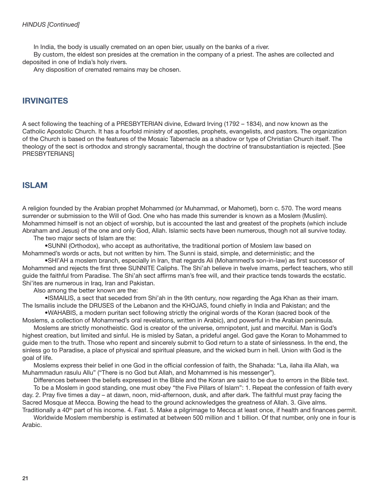In India, the body is usually cremated on an open bier, usually on the banks of a river.

 By custom, the eldest son presides at the cremation in the company of a priest. The ashes are collected and deposited in one of India's holy rivers.

Any disposition of cremated remains may be chosen.

## IRVINGITES

A sect following the teaching of a PRESBYTERIAN divine, Edward Irving (1792 – 1834), and now known as the Catholic Apostolic Church. It has a fourfold ministry of apostles, prophets, evangelists, and pastors. The organization of the Church is based on the features of the Mosaic Tabernacle as a shadow or type of Christian Church itself. The theology of the sect is orthodox and strongly sacramental, though the doctrine of transubstantiation is rejected. [See PRESBYTERIANS]

## ISLAM

A religion founded by the Arabian prophet Mohammed (or Muhammad, or Mahomet), born c. 570. The word means surrender or submission to the Will of God. One who has made this surrender is known as a Moslem (Muslim). Mohammed himself is not an object of worship, but is accounted the last and greatest of the prophets (which include Abraham and Jesus) of the one and only God, Allah. Islamic sects have been numerous, though not all survive today.

The two major sects of Islam are the:

 •SUNNI (Orthodox), who accept as authoritative, the traditional portion of Moslem law based on Mohammed's words or acts, but not written by him. The Sunni is staid, simple, and deterministic; and the

•SHI'AH a moslem branch, especially in Iran, that regards Ali (Mohammed's son-in-law) as first successor of Mohammed and rejects the first three SUNNITE Caliphs. The Shi'ah believe in twelve imams, perfect teachers, who still guide the faithful from Paradise. The Shi'ah sect affirms man's free will, and their practice tends towards the ecstatic. Shi'ites are numerous in Iraq, Iran and Pakistan.

Also among the better known are the:

 •ISMAILIS, a sect that seceded from Shi'ah in the 9th century, now regarding the Aga Khan as their imam. The Ismailis include the DRUSES of the Lebanon and the KHOJAS, found chiefly in India and Pakistan; and the

 •WAHABIS, a modern puritan sect following strictly the original words of the Koran (sacred book of the Moslems, a collection of Mohammed's oral revelations, written in Arabic), and powerful in the Arabian peninsula.

 Moslems are strictly monotheistic. God is creator of the universe, omnipotent, just and merciful. Man is God's highest creation, but limited and sinful. He is misled by Satan, a prideful angel. God gave the Koran to Mohammed to guide men to the truth. Those who repent and sincerely submit to God return to a state of sinlessness. In the end, the sinless go to Paradise, a place of physical and spiritual pleasure, and the wicked burn in hell. Union with God is the goal of life.

Moslems express their belief in one God in the official confession of faith, the Shahada: "La, ilaha illa Allah, wa Muhammadun rasulu Allu" ("There is no God but Allah, and Mohammed is his messenger").

 Differences between the beliefs expressed in the Bible and the Koran are said to be due to errors in the Bible text. To be a Moslem in good standing, one must obey "the Five Pillars of Islam": 1. Repeat the confession of faith every day. 2. Pray five times a day – at dawn, noon, mid-afternoon, dusk, and after dark. The faithful must pray facing the Sacred Mosque at Mecca. Bowing the head to the ground acknowledges the greatness of Allah. 3. Give alms.

Traditionally a 40<sup>th</sup> part of his income. 4. Fast. 5. Make a pilgrimage to Mecca at least once, if health and finances permit. Worldwide Moslem membership is estimated at between 500 million and 1 billion. Of that number, only one in four is Arabic.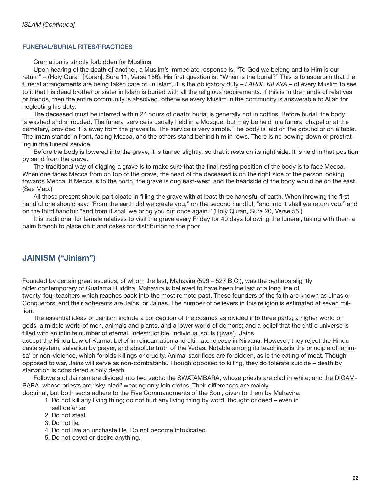## FUNERAL/BURIAL RITES/PRACTICES

Cremation is strictly forbidden for Muslims.

 Upon hearing of the death of another, a Muslim's immediate response is: "To God we belong and to Him is our return" – (Holy Quran [Koran], Sura 11, Verse 156). His first question is: "When is the burial?" This is to ascertain that the funeral arrangements are being taken care of. In Islam, it is the obligatory duty – FARDE KIFAYA – of every Muslim to see to it that his dead brother or sister in Islam is buried with all the religious requirements. If this is in the hands of relatives or friends, then the entire community is absolved, otherwise every Muslim in the community is answerable to Allah for neglecting his duty.

The deceased must be interred within 24 hours of death; burial is generally not in coffins. Before burial, the body is washed and shrouded. The funeral service is usually held in a Mosque, but may be held in a funeral chapel or at the cemetery, provided it is away from the gravesite. The service is very simple. The body is laid on the ground or on a table. The Imam stands in front, facing Mecca, and the others stand behind him in rows. There is no bowing down or prostrating in the funeral service.

 Before the body is lowered into the grave, it is turned slightly, so that it rests on its right side. It is held in that position by sand from the grave.

The traditional way of digging a grave is to make sure that the final resting position of the body is to face Mecca. When one faces Mecca from on top of the grave, the head of the deceased is on the right side of the person looking towards Mecca. If Mecca is to the north, the grave is dug east-west, and the headside of the body would be on the east. (See Map.)

All those present should participate in filling the grave with at least three handsful of earth. When throwing the first handful one should say: "From the earth did we create you," on the second handful: "and into it shall we return you," and on the third handful: "and from it shall we bring you out once again." (Holy Quran, Sura 20, Verse 55.)

 It is traditional for female relatives to visit the grave every Friday for 40 days following the funeral, taking with them a palm branch to place on it and cakes for distribution to the poor.

# JAINISM ("Jinism")

Founded by certain great ascetics, of whom the last, Mahavira (599 – 527 B.C.), was the perhaps slightly older contemporary of Guatama Buddha. Mahavira is believed to have been the last of a long line of twenty-four teachers which reaches back into the most remote past. These founders of the faith are known as Jinas or Conquerors, and their adherents are Jains, or Jainas. The number of believers in this religion is estimated at seven million.

 The essential ideas of Jainism include a conception of the cosmos as divided into three parts; a higher world of gods, a middle world of men, animals and plants, and a lower world of demons; and a belief that the entire universe is filled with an infinite number of eternal, indestructible, individual souls ('jivas'). Jains

accept the Hindu Law of Karma; belief in reincarnation and ultimate release in Nirvana. However, they reject the Hindu caste system, salvation by prayer, and absolute truth of the Vedas. Notable among its teachings is the principle of 'ahimsa' or non-violence, which forbids killings or cruelty. Animal sacrifices are forbidden, as is the eating of meat. Though opposed to war, Jains will serve as non-combatants. Though opposed to killing, they do tolerate suicide – death by starvation is considered a holy death.

 Followers of Jainism are divided into two sects: the SWATAMBARA, whose priests are clad in white; and the DIGAM-BARA, whose priests are "sky-clad" wearing only loin cloths. Their differences are mainly doctrinal, but both sects adhere to the Five Commandments of the Soul, given to them by Mahavira:

- 1. Do not kill any living thing; do not hurt any living thing by word, thought or deed even in self defense.
- 2. Do not steal.
- 3. Do not lie.
- 4. Do not live an unchaste life. Do not become intoxicated.
- 5. Do not covet or desire anything.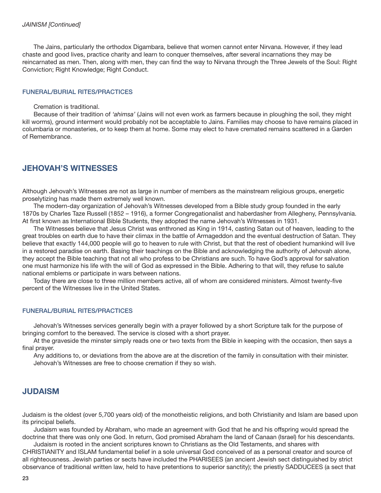The Jains, particularly the orthodox Digambara, believe that women cannot enter Nirvana. However, if they lead chaste and good lives, practice charity and learn to conquer themselves, after several incarnations they may be reincarnated as men. Then, along with men, they can find the way to Nirvana through the Three Jewels of the Soul: Right Conviction; Right Knowledge; Right Conduct.

#### FUNERAL/BURIAL RITES/PRACTICES

Cremation is traditional.

 Because of their tradition of 'ahimsa' (Jains will not even work as farmers because in ploughing the soil, they might kill worms), ground interment would probably not be acceptable to Jains. Families may choose to have remains placed in columbaria or monasteries, or to keep them at home. Some may elect to have cremated remains scattered in a Garden of Remembrance.

## JEHOVAH'S WITNESSES

Although Jehovah's Witnesses are not as large in number of members as the mainstream religious groups, energetic proselytizing has made them extremely well known.

 The modern-day organization of Jehovah's Witnesses developed from a Bible study group founded in the early 1870s by Charles Taze Russell (1852 – 1916), a former Congregationalist and haberdasher from Allegheny, Pennsylvania. At first known as International Bible Students, they adopted the name Jehovah's Witnesses in 1931.

 The Witnesses believe that Jesus Christ was enthroned as King in 1914, casting Satan out of heaven, leading to the great troubles on earth due to have their climax in the battle of Armageddon and the eventual destruction of Satan. They believe that exactly 144,000 people will go to heaven to rule with Christ, but that the rest of obedient humankind will live in a restored paradise on earth. Basing their teachings on the Bible and acknowledging the authority of Jehovah alone, they accept the Bible teaching that not all who profess to be Christians are such. To have God's approval for salvation one must harmonize his life with the will of God as expressed in the Bible. Adhering to that will, they refuse to salute national emblems or participate in wars between nations.

Today there are close to three million members active, all of whom are considered ministers. Almost twenty-five percent of the Witnesses live in the United States.

#### FUNERAL/BURIAL RITES/PRACTICES

 Jehovah's Witnesses services generally begin with a prayer followed by a short Scripture talk for the purpose of bringing comfort to the bereaved. The service is closed with a short prayer.

 At the graveside the minster simply reads one or two texts from the Bible in keeping with the occasion, then says a final prayer.

 Any additions to, or deviations from the above are at the discretion of the family in consultation with their minister. Jehovah's Witnesses are free to choose cremation if they so wish.

## **JUDAISM**

Judaism is the oldest (over 5,700 years old) of the monotheistic religions, and both Christianity and Islam are based upon its principal beliefs.

 Judaism was founded by Abraham, who made an agreement with God that he and his offspring would spread the doctrine that there was only one God. In return, God promised Abraham the land of Canaan (Israel) for his descendants.

 Judaism is rooted in the ancient scriptures known to Christians as the Old Testaments, and shares with CHRISTIANITY and ISLAM fundamental belief in a sole universal God conceived of as a personal creator and source of all righteousness. Jewish parties or sects have included the PHARISEES (an ancient Jewish sect distinguished by strict observance of traditional written law, held to have pretentions to superior sanctity); the priestly SADDUCEES (a sect that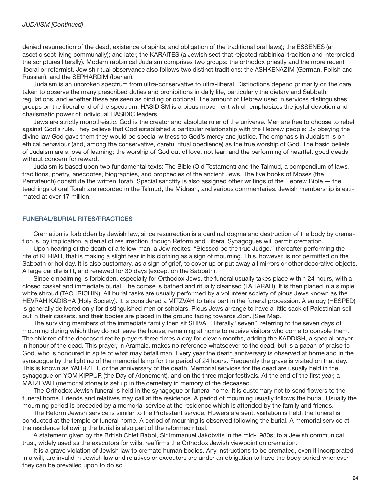denied resurrection of the dead, existence of spirits, and obligation of the traditional oral laws); the ESSENES (an ascetic sect living communally); and later, the KARAITES (a Jewish sect that rejected rabbinical tradition and interpreted the scriptures literally). Modern rabbinical Judaism comprises two groups: the orthodox priestly and the more recent liberal or reformist. Jewish ritual observance also follows two distinct traditions: the ASHKENAZIM (German, Polish and Russian), and the SEPHARDIM (Iberian).

 Judaism is an unbroken spectrum from ultra-conservative to ultra-liberal. Distinctions depend primarily on the care taken to observe the many prescribed duties and prohibitions in daily life, particularly the dietary and Sabbath regulations, and whether these are seen as binding or optional. The amount of Hebrew used in services distinguishes groups on the liberal end of the spectrum. HASIDISM is a pious movement which emphasizes the joyful devotion and charismatic power of individual HASIDIC leaders.

 Jews are strictly monotheistic. God is the creator and absolute ruler of the universe. Men are free to choose to rebel against God's rule. They believe that God established a particular relationship with the Hebrew people: By obeying the divine law God gave them they would be special witness to God's mercy and justice. The emphasis in Judaism is on ethical behaviour (and, among the conservative, careful ritual obedience) as the true worship of God. The basic beliefs of Judaism are a love of learning; the worship of God out of love, not fear; and the performing of heartfelt good deeds without concern for reward.

 Judaism is based upon two fundamental texts: The Bible (Old Testament) and the Talmud, a compendium of laws, traditions, poetry, anecdotes, biographies, and prophecies of the ancient Jews. The five books of Moses (the Pentateuch) constitute the written Torah. Special sanctity is also assigned other writings of the Hebrew Bible — the teachings of oral Torah are recorded in the Talmud, the Midrash, and various commentaries. Jewish membership is estimated at over 17 million.

## FUNERAL/BURIAL RITES/PRACTICES

 Cremation is forbidden by Jewish law, since resurrection is a cardinal dogma and destruction of the body by cremation is, by implication, a denial of resurrection, though Reform and Liberal Synagogues will permit cremation.

 Upon hearing of the death of a fellow man, a Jew recites: "Blessed be the true Judge," thereafter performing the rite of KERIAH, that is making a slight tear in his clothing as a sign of mourning. This, however, is not permitted on the Sabbath or holiday. It is also customary, as a sign of grief, to cover up or put away all mirrors or other decorative objects. A large candle is lit, and renewed for 30 days (except on the Sabbath).

 Since embalming is forbidden, especially for Orthodox Jews, the funeral usually takes place within 24 hours, with a closed casket and immediate burial. The corpse is bathed and ritually cleansed (TAHARAH). It is then placed in a simple white shroud (TACHRICHIN). All burial tasks are usually performed by a volunteer society of pious Jews known as the HEVRAH KADISHA (Holy Society). It is considered a MITZVAH to take part in the funeral procession. A eulogy (HESPED) is generally delivered only for distinguished men or scholars. Pious Jews arrange to have a little sack of Palestinian soil put in their caskets, and their bodies are placed in the ground facing towards Zion. [See Map.]

 The surviving members of the immediate family then sit SHIVAH, literally "seven", referring to the seven days of mourning during which they do not leave the house, remaining at home to receive visitors who come to console them. The children of the deceased recite prayers three times a day for eleven months, adding the KADDISH, a special prayer in honour of the dead. This prayer, in Aramaic, makes no reference whatsoever to the dead, but is a paean of praise to God, who is honoured in spite of what may befall man. Every year the death anniversary is observed at home and in the synagogue by the lighting of the memorial lamp for the period of 24 hours. Frequently the grave is visited on that day. This is known as YAHRZEIT, or the anniversary of the death. Memorial services for the dead are usually held in the synagogue on YOM KIPPUR (the Day of Atonement), and on the three major festivals. At the end of the first year, a MATZEVAH (memorial stone) is set up in the cemetery in memory of the deceased.

The Orthodox Jewish funeral is held in the synagogue or funeral home. It is customary not to send flowers to the funeral home. Friends and relatives may call at the residence. A period of mourning usually follows the burial. Usually the mourning period is preceded by a memorial service at the residence which is attended by the family and friends.

 The Reform Jewish service is similar to the Protestant service. Flowers are sent, visitation is held, the funeral is conducted at the temple or funeral home. A period of mourning is observed following the burial. A memorial service at the residence following the burial is also part of the reformed ritual.

 A statement given by the British Chief Rabbi, Sir Immanuel Jakobvits in the mid-1980s, to a Jewish communical trust, widely used as the executors for wills, reaffirms the Orthodox Jewish viewpoint on cremation.

 It is a grave violation of Jewish law to cremate human bodies. Any instructions to be cremated, even if incorporated in a will, are invalid in Jewish law and relatives or executors are under an obligation to have the body buried whenever they can be prevailed upon to do so.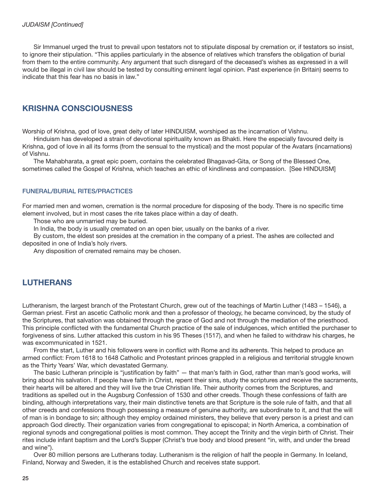Sir Immanuel urged the trust to prevail upon testators not to stipulate disposal by cremation or, if testators so insist, to ignore their stipulation. "This applies particularly in the absence of relatives which transfers the obligation of burial from them to the entire community. Any argument that such disregard of the deceased's wishes as expressed in a will would be illegal in civil law should be tested by consulting eminent legal opinion. Past experience (in Britain) seems to indicate that this fear has no basis in law."

## KRISHNA CONSCIOUSNESS

Worship of Krishna, god of love, great deity of later HINDUISM, worshiped as the incarnation of Vishnu.

 Hinduism has developed a strain of devotional spirituality known as Bhakti. Here the especially favoured deity is Krishna, god of love in all its forms (from the sensual to the mystical) and the most popular of the Avatars (incarnations) of Vishnu.

 The Mahabharata, a great epic poem, contains the celebrated Bhagavad-Gita, or Song of the Blessed One, sometimes called the Gospel of Krishna, which teaches an ethic of kindliness and compassion. [See HINDUISM]

#### FUNERAL/BURIAL RITES/PRACTICES

For married men and women, cremation is the normal procedure for disposing of the body. There is no specific time element involved, but in most cases the rite takes place within a day of death.

Those who are unmarried may be buried.

In India, the body is usually cremated on an open bier, usually on the banks of a river.

 By custom, the eldest son presides at the cremation in the company of a priest. The ashes are collected and deposited in one of India's holy rivers.

Any disposition of cremated remains may be chosen.

## LUTHERANS

Lutheranism, the largest branch of the Protestant Church, grew out of the teachings of Martin Luther (1483 – 1546), a German priest. First an ascetic Catholic monk and then a professor of theology, he became convinced, by the study of the Scriptures, that salvation was obtained through the grace of God and not through the mediation of the priesthood. This principle conflicted with the fundamental Church practice of the sale of indulgences, which entitled the purchaser to forgiveness of sins. Luther attacked this custom in his 95 Theses (1517), and when he failed to withdraw his charges, he was excommunicated in 1521.

From the start, Luther and his followers were in conflict with Rome and its adherents. This helped to produce an armed conflict: From 1618 to 1648 Catholic and Protestant princes grappled in a religious and territorial struggle known as the Thirty Years' War, which devastated Germany.

The basic Lutheran principle is "justification by faith" — that man's faith in God, rather than man's good works, will bring about his salvation. If people have faith in Christ, repent their sins, study the scriptures and receive the sacraments, their hearts will be altered and they will live the true Christian life. Their authority comes from the Scriptures, and traditions as spelled out in the Augsburg Confession of 1530 and other creeds. Though these confessions of faith are binding, although interpretations vary, their main distinctive tenets are that Scripture is the sole rule of faith, and that all other creeds and confessions though possessing a measure of genuine authority, are subordinate to it, and that the will of man is in bondage to sin; although they employ ordained ministers, they believe that every person is a priest and can approach God directly. Their organization varies from congregational to episcopal; in North America, a combination of regional synods and congregational polities is most common. They accept the Trinity and the virgin birth of Christ. Their rites include infant baptism and the Lord's Supper (Christ's true body and blood present "in, with, and under the bread and wine").

 Over 80 million persons are Lutherans today. Lutheranism is the religion of half the people in Germany. In Iceland, Finland, Norway and Sweden, it is the established Church and receives state support.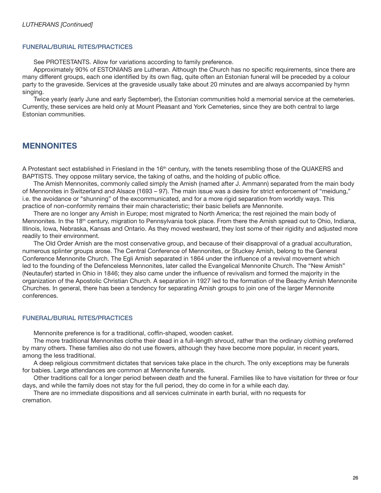#### FUNERAL/BURIAL RITES/PRACTICES

See PROTESTANTS. Allow for variations according to family preference.

Approximately 90% of ESTONIANS are Lutheran. Although the Church has no specific requirements, since there are many different groups, each one identified by its own flag, quite often an Estonian funeral will be preceded by a colour party to the graveside. Services at the graveside usually take about 20 minutes and are always accompanied by hymn singing.

 Twice yearly (early June and early September), the Estonian communities hold a memorial service at the cemeteries. Currently, these services are held only at Mount Pleasant and York Cemeteries, since they are both central to large Estonian communities.

## MENNONITES

A Protestant sect established in Friesland in the 16<sup>th</sup> century, with the tenets resembling those of the QUAKERS and BAPTISTS. They oppose military service, the taking of oaths, and the holding of public office.

 The Amish Mennonites, commonly called simply the Amish (named after J. Ammann) separated from the main body of Mennonites in Switzerland and Alsace (1693 – 97). The main issue was a desire for strict enforcement of "meidung," i.e. the avoidance or "shunning" of the excommunicated, and for a more rigid separation from worldly ways. This practice of non-conformity remains their main characteristic; their basic beliefs are Mennonite.

There are no longer any Amish in Europe; most migrated to North America; the rest rejoined the main body of Mennonites. In the 18<sup>th</sup> century, migration to Pennsylvania took place. From there the Amish spread out to Ohio, Indiana, Illinois, Iowa, Nebraska, Kansas and Ontario. As they moved westward, they lost some of their rigidity and adjusted more readily to their environment.

 The Old Order Amish are the most conservative group, and because of their disapproval of a gradual acculturation, numerous splinter groups arose. The Central Conference of Mennonites, or Stuckey Amish, belong to the General Conference Mennonite Church. The Egli Amish separated in 1864 under the influence of a revival movement which led to the founding of the Defenceless Mennonites, later called the Evangelical Mennonite Church. The "New Amish" (Neutaufer) started in Ohio in 1846; they also came under the influence of revivalism and formed the majority in the organization of the Apostolic Christian Church. A separation in 1927 led to the formation of the Beachy Amish Mennonite Churches. In general, there has been a tendency for separating Amish groups to join one of the larger Mennonite conferences.

## FUNERAL/BURIAL RITES/PRACTICES

Mennonite preference is for a traditional, coffin-shaped, wooden casket.

 The more traditional Mennonites clothe their dead in a full-length shroud, rather than the ordinary clothing preferred by many others. These families also do not use flowers, although they have become more popular, in recent years, among the less traditional.

 A deep religious commitment dictates that services take place in the church. The only exceptions may be funerals for babies. Large attendances are common at Mennonite funerals.

 Other traditions call for a longer period between death and the funeral. Families like to have visitation for three or four days, and while the family does not stay for the full period, they do come in for a while each day.

 There are no immediate dispositions and all services culminate in earth burial, with no requests for cremation.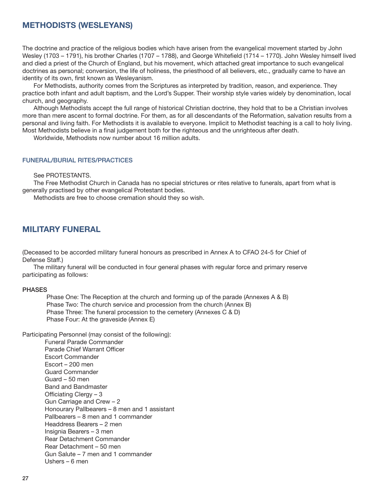## METHODISTS (WESLEYANS)

The doctrine and practice of the religious bodies which have arisen from the evangelical movement started by John Wesley (1703 – 1791), his brother Charles (1707 – 1788), and George Whitefield (1714 – 1770). John Wesley himself lived and died a priest of the Church of England, but his movement, which attached great importance to such evangelical doctrines as personal; conversion, the life of holiness, the priesthood of all believers, etc., gradually came to have an identity of its own, first known as Wesleyanism.

 For Methodists, authority comes from the Scriptures as interpreted by tradition, reason, and experience. They practice both infant and adult baptism, and the Lord's Supper. Their worship style varies widely by denomination, local church, and geography.

 Although Methodists accept the full range of historical Christian doctrine, they hold that to be a Christian involves more than mere ascent to formal doctrine. For them, as for all descendants of the Reformation, salvation results from a personal and living faith. For Methodists it is available to everyone. Implicit to Methodist teaching is a call to holy living. Most Methodists believe in a final judgement both for the righteous and the unrighteous after death.

Worldwide, Methodists now number about 16 million adults.

#### FUNERAL/BURIAL RITES/PRACTICES

See PROTESTANTS.

 The Free Methodist Church in Canada has no special strictures or rites relative to funerals, apart from what is generally practised by other evangelical Protestant bodies.

Methodists are free to choose cremation should they so wish.

## MILITARY FUNERAL

(Deceased to be accorded military funeral honours as prescribed in Annex A to CFAO 24-5 for Chief of Defense Staff.)

 The military funeral will be conducted in four general phases with regular force and primary reserve participating as follows:

#### PHASES

 Phase One: The Reception at the church and forming up of the parade (Annexes A & B) Phase Two: The church service and procession from the church (Annex B) Phase Three: The funeral procession to the cemetery (Annexes C & D) Phase Four: At the graveside (Annex E)

Participating Personnel (may consist of the following):

 Funeral Parade Commander Parade Chief Warrant Officer Escort Commander Escort – 200 men Guard Commander Guard – 50 men Band and Bandmaster Officiating Clergy  $-3$  Gun Carriage and Crew – 2 Honourary Pallbearers – 8 men and 1 assistant Pallbearers – 8 men and 1 commander Headdress Bearers – 2 men Insignia Bearers – 3 men Rear Detachment Commander Rear Detachment – 50 men Gun Salute – 7 men and 1 commander Ushers – 6 men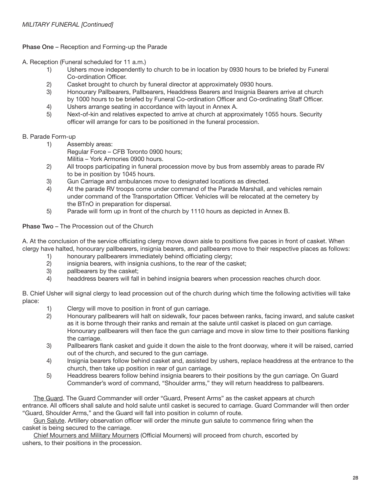Phase One – Reception and Forming-up the Parade

A. Reception (Funeral scheduled for 11 a.m.)

- 1) Ushers move independently to church to be in location by 0930 hours to be briefed by Funeral Co-ordination Officer.
- 2) Casket brought to church by funeral director at approximately 0930 hours.
- 3) Honourary Pallbearers, Pallbearers, Headdress Bearers and Insignia Bearers arrive at church by 1000 hours to be briefed by Funeral Co-ordination Officer and Co-ordinating Staff Officer.
- 4) Ushers arrange seating in accordance with layout in Annex A.
- 5) Next-of-kin and relatives expected to arrive at church at approximately 1055 hours. Security officer will arrange for cars to be positioned in the funeral procession.

## B. Parade Form-up

1) Assembly areas:

 Regular Force – CFB Toronto 0900 hours; Militia – York Armories 0900 hours.

- 2) All troops participating in funeral procession move by bus from assembly areas to parade RV to be in position by 1045 hours.
- 3) Gun Carriage and ambulances move to designated locations as directed.
- 4) At the parade RV troops come under command of the Parade Marshall, and vehicles remain under command of the Transportation Officer. Vehicles will be relocated at the cemetery by the BTnO in preparation for dispersal.
- 5) Parade will form up in front of the church by 1110 hours as depicted in Annex B.

Phase Two – The Procession out of the Church

A. At the conclusion of the service officiating clergy move down aisle to positions five paces in front of casket. When clergy have halted, honourary pallbearers, insignia bearers, and pallbearers move to their respective places as follows:

- 1) honourary pallbearers immediately behind officiating clergy;
- 2) insignia bearers, with insignia cushions, to the rear of the casket;
- 3) pallbearers by the casket;
- 4) headdress bearers will fall in behind insignia bearers when procession reaches church door.

B. Chief Usher will signal clergy to lead procession out of the church during which time the following activities will take place:

- 1) Clergy will move to position in front of gun carriage.
- 2) Honourary pallbearers will halt on sidewalk, four paces between ranks, facing inward, and salute casket as it is borne through their ranks and remain at the salute until casket is placed on gun carriage. Honourary pallbearers will then face the gun carriage and move in slow time to their positions flanking the carriage.
- 3) Pallbearers flank casket and guide it down the aisle to the front doorway, where it will be raised, carried out of the church, and secured to the gun carriage.
- 4) Insignia bearers follow behind casket and, assisted by ushers, replace headdress at the entrance to the church, then take up position in rear of gun carriage.
- 5) Headdress bearers follow behind insignia bearers to their positions by the gun carriage. On Guard Commander's word of command, "Shoulder arms," they will return headdress to pallbearers.

 The Guard. The Guard Commander will order "Guard, Present Arms" as the casket appears at church entrance. All officers shall salute and hold salute until casket is secured to carriage. Guard Commander will then order "Guard, Shoulder Arms," and the Guard will fall into position in column of route.

Gun Salute. Artillery observation officer will order the minute gun salute to commence firing when the casket is being secured to the carriage.

Chief Mourners and Military Mourners (Official Mourners) will proceed from church, escorted by ushers, to their positions in the procession.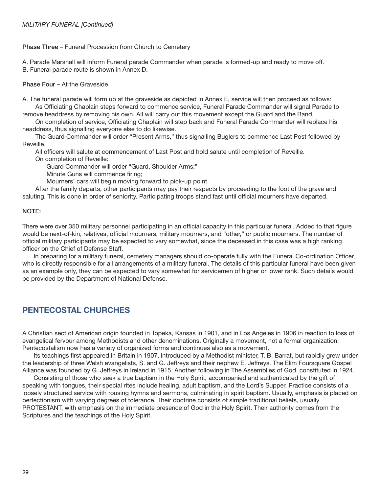#### Phase Three – Funeral Procession from Church to Cemetery

A. Parade Marshall will inform Funeral parade Commander when parade is formed-up and ready to move off. B. Funeral parade route is shown in Annex D.

#### Phase Four – At the Graveside

A. The funeral parade will form up at the graveside as depicted in Annex E, service will then proceed as follows: As Officiating Chaplain steps forward to commence service, Funeral Parade Commander will signal Parade to

remove headdress by removing his own. All will carry out this movement except the Guard and the Band.

On completion of service, Officiating Chaplain will step back and Funeral Parade Commander will replace his headdress, thus signalling everyone else to do likewise.

 The Guard Commander will order "Present Arms," thus signalling Buglers to commence Last Post followed by Reveille.

All officers will salute at commencement of Last Post and hold salute until completion of Reveille.

On completion of Reveille:

Guard Commander will order "Guard, Shoulder Arms;"

Minute Guns will commence firing;

Mourners' cars will begin moving forward to pick-up point.

 After the family departs, other participants may pay their respects by proceeding to the foot of the grave and saluting. This is done in order of seniority. Participating troops stand fast until official mourners have departed.

#### NOTE:

There were over 350 military personnel participating in an official capacity in this particular funeral. Added to that figure would be next-of-kin, relatives, official mourners, military mourners, and "other," or public mourners. The number of official military participants may be expected to vary somewhat, since the deceased in this case was a high ranking officer on the Chief of Defense Staff.

In preparing for a military funeral, cemetery managers should co-operate fully with the Funeral Co-ordination Officer, who is directly responsible for all arrangements of a military funeral. The details of this particular funeral have been given as an example only, they can be expected to vary somewhat for servicemen of higher or lower rank. Such details would be provided by the Department of National Defense.

## PENTECOSTAL CHURCHES

A Christian sect of American origin founded in Topeka, Kansas in 1901, and in Los Angeles in 1906 in reaction to loss of evangelical fervour among Methodists and other denominations. Originally a movement, not a formal organization, Pentecostalism now has a variety of organized forms and continues also as a movement.

Its teachings first appeared in Britain in 1907, introduced by a Methodist minister, T. B. Barrat, but rapidly grew under the leadership of three Welsh evangelists, S. and G. Jeffreys and their nephew E. Jeffreys. The Elim Foursquare Gospel Alliance was founded by G. Jeffreys in Ireland in 1915. Another following in The Assemblies of God, constituted in 1924.

 Consisting of those who seek a true baptism in the Holy Spirit, accompanied and authenticated by the gift of speaking with tongues, their special rites include healing, adult baptism, and the Lord's Supper. Practice consists of a loosely structured service with rousing hymns and sermons, culminating in spirit baptism. Usually, emphasis is placed on perfectionism with varying degrees of tolerance. Their doctrine consists of simple traditional beliefs, usually PROTESTANT, with emphasis on the immediate presence of God in the Holy Spirit. Their authority comes from the Scriptures and the teachings of the Holy Spirit.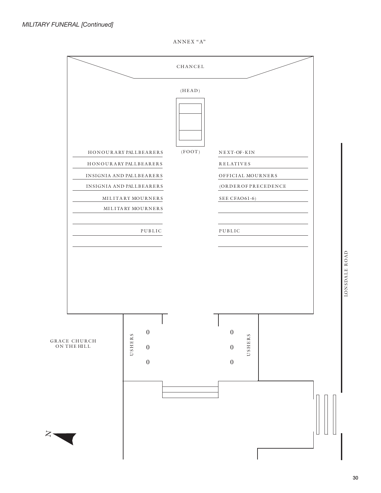ANNEX "A"

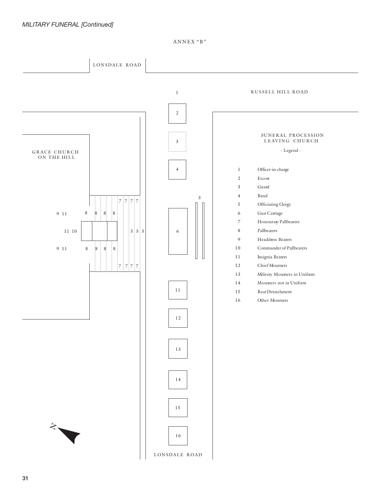ANNEX "B"

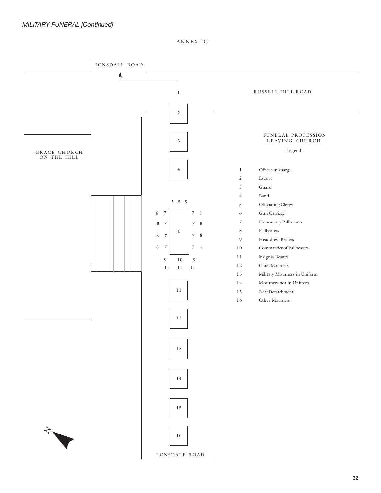ANNEX "C"

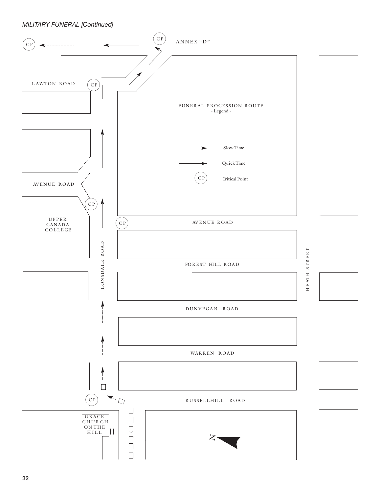## MILITARY FUNERAL [Continued]

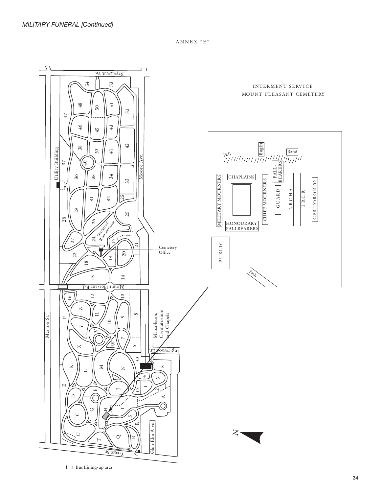ANNEX "E"

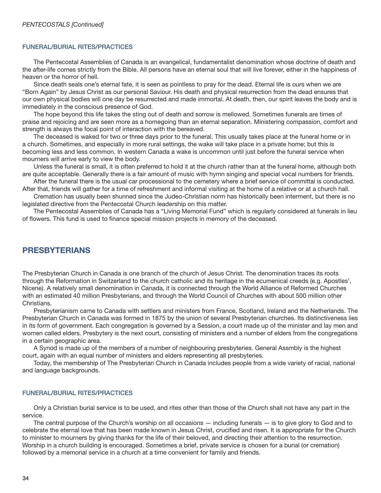#### FUNERAL/BURIAL RITES/PRACTICES

 The Pentecostal Assemblies of Canada is an evangelical, fundamentalist denomination whose doctrine of death and the after-life comes strictly from the Bible. All persons have an eternal soul that will live forever, either in the happiness of heaven or the horror of hell.

 Since death seals one's eternal fate, it is seen as pointless to pray for the dead. Eternal life is ours when we are "Born Again" by Jesus Christ as our personal Saviour. His death and physical resurrection from the dead ensures that our own physical bodies will one day be resurrected and made immortal. At death, then, our spirit leaves the body and is immediately in the conscious presence of God.

 The hope beyond this life takes the sting out of death and sorrow is mellowed. Sometimes funerals are times of praise and rejoicing and are seen more as a homegoing than an eternal separation. Ministering compassion, comfort and strength is always the focal point of interaction with the bereaved.

 The deceased is waked for two or three days prior to the funeral. This usually takes place at the funeral home or in a church. Sometimes, and especially in more rural settings, the wake will take place in a private home; but this is becoming less and less common. In western Canada a wake is uncommon until just before the funeral service when mourners will arrive early to view the body.

 Unless the funeral is small, it is often preferred to hold it at the church rather than at the funeral home, although both are quite acceptable. Generally there is a fair amount of music with hymn singing and special vocal numbers for friends.

 After the funeral there is the usual car processional to the cemetery where a brief service of committal is conducted. After that, friends will gather for a time of refreshment and informal visiting at the home of a relative or at a church hall.

 Cremation has usually been shunned since the Judeo-Christian norm has historically been interment, but there is no legislated directive from the Pentecostal Church leadership on this matter.

 The Pentecostal Assemblies of Canada has a "Living Memorial Fund" which is regularly considered at funerals in lieu of flowers. This fund is used to finance special mission projects in memory of the deceased.

## PRESBYTERIANS

The Presbyterian Church in Canada is one branch of the church of Jesus Christ. The denomination traces its roots through the Reformation in Switzerland to the church catholic and its heritage in the ecumenical creeds (e.g. Apostles', Nicene). A relatively small denomination in Canada, it is connected through the World Alliance of Reformed Churches with an estimated 40 million Presbyterians, and through the World Council of Churches with about 500 million other Christians.

 Presbyterianism came to Canada with settlers and ministers from France, Scotland, Ireland and the Netherlands. The Presbyterian Church in Canada was formed in 1875 by the union of several Presbyterian churches. Its distinctiveness lies in its form of government. Each congregation is governed by a Session, a court made up of the minister and lay men and women called elders. Presbytery is the next court, consisting of ministers and a number of elders from the congregations in a certain geographic area.

 A Synod is made up of the members of a number of neighbouring presbyteries. General Assmbly is the highest court, again with an equal number of ministers and elders representing all presbyteries.

 Today, the membership of The Presbyterian Church in Canada includes people from a wide variety of racial, national and language backgrounds.

#### FUNERAL/BURIAL RITES/PRACTICES

 Only a Christian burial service is to be used, and rites other than those of the Church shall not have any part in the service.

 The central purpose of the Church's worship on all occasions — including funerals — is to give glory to God and to celebrate the eternal love that has been made known in Jesus Christ, crucified and risen. It is appropriate for the Church to minister to mourners by giving thanks for the life of their beloved, and directing their attention to the resurrection. Worship in a church building is encouraged. Sometimes a brief, private service is chosen for a burial (or cremation) followed by a memorial service in a church at a time convenient for family and friends.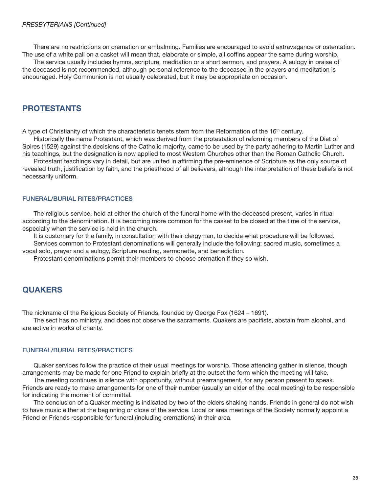There are no restrictions on cremation or embalming. Families are encouraged to avoid extravagance or ostentation. The use of a white pall on a casket will mean that, elaborate or simple, all coffins appear the same during worship.

 The service usually includes hymns, scripture, meditation or a short sermon, and prayers. A eulogy in praise of the deceased is not recommended, although personal reference to the deceased in the prayers and meditation is encouraged. Holy Communion is not usually celebrated, but it may be appropriate on occasion.

# PROTESTANTS

A type of Christianity of which the characteristic tenets stem from the Reformation of the  $16<sup>th</sup>$  century.

 Historically the name Protestant, which was derived from the protestation of reforming members of the Diet of Spires (1529) against the decisions of the Catholic majority, came to be used by the party adhering to Martin Luther and his teachings, but the designation is now applied to most Western Churches other than the Roman Catholic Church.

Protestant teachings vary in detail, but are united in affirming the pre-eminence of Scripture as the only source of revealed truth, justification by faith, and the priesthood of all believers, although the interpretation of these beliefs is not necessarily uniform.

## FUNERAL/BURIAL RITES/PRACTICES

 The religious service, held at either the church of the funeral home with the deceased present, varies in ritual according to the denomination. It is becoming more common for the casket to be closed at the time of the service, especially when the service is held in the church.

 It is customary for the family, in consultation with their clergyman, to decide what procedure will be followed. Services common to Protestant denominations will generally include the following: sacred music, sometimes a vocal solo, prayer and a eulogy, Scripture reading, sermonette, and benediction.

Protestant denominations permit their members to choose cremation if they so wish.

# **QUAKERS**

The nickname of the Religious Society of Friends, founded by George Fox (1624 – 1691).

The sect has no ministry, and does not observe the sacraments. Quakers are pacifists, abstain from alcohol, and are active in works of charity.

## FUNERAL/BURIAL RITES/PRACTICES

 Quaker services follow the practice of their usual meetings for worship. Those attending gather in silence, though arrangements may be made for one Friend to explain briefly at the outset the form which the meeting will take.

 The meeting continues in silence with opportunity, without prearrangement, for any person present to speak. Friends are ready to make arrangements for one of their number (usually an elder of the local meeting) to be responsible for indicating the moment of committal.

 The conclusion of a Quaker meeting is indicated by two of the elders shaking hands. Friends in general do not wish to have music either at the beginning or close of the service. Local or area meetings of the Society normally appoint a Friend or Friends responsible for funeral (including cremations) in their area.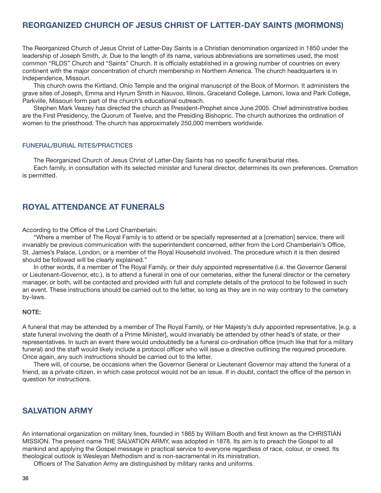## REORGANIZED CHURCH OF JESUS CHRIST OF LATTER-DAY SAINTS (MORMONS)

The Reorganized Church of Jesus Christ of Latter-Day Saints is a Christian denomination organized in 1850 under the leadership of Joseph Smith, Jr. Due to the length of its name, various abbreviations are sometimes used, the most common "RLDS" Church and "Saints" Church. It is officially established in a growing number of countries on every continent with the major concentration of church membership in Northern America. The church headquarters is in Independence, Missouri.

 This church owns the Kirtland, Ohio Temple and the original manuscript of the Book of Mormon. It administers the grave sites of Joseph, Emma and Hyrum Smith in Nauvoo, Illinois. Graceland College, Lamoni, Iowa and Park College, Parkville, Missouri form part of the church's educational outreach.

 Stephen Mark Veazey has directed the church as President-Prophet since June 2005. Chief administrative bodies are the First Presidency, the Quorum of Twelve, and the Presiding Bishopric. The church authorizes the ordination of women to the priesthood. The church has approximately 250,000 members worldwide.

#### FUNERAL/BURIAL RITES/PRACTICES

The Reorganized Church of Jesus Christ of Latter-Day Saints has no specific funeral/burial rites.

 Each family, in consultation with its selected minister and funeral director, determines its own preferences. Cremation is permitted.

# ROYAL ATTENDANCE AT FUNERALS

According to the Office of the Lord Chamberlain:

 "Where a member of The Royal Family is to attend or be specially represented at a [cremation] service, there will invariably be previous communication with the superintendent concerned, either from the Lord Chamberlain's Office, St. James's Palace, London, or a member of the Royal Household involved. The procedure which it is then desired should be followed will be clearly explained."

 In other words, if a member of The Royal Family, or their duly appointed representative (i.e. the Governor General or Lieutenant-Governor, etc.), is to attend a funeral in one of our cemeteries, either the funeral director or the cemetery manager, or both, will be contacted and provided with full and complete details of the protocol to be followed in such an event. These instructions should be carried out to the letter, so long as they are in no way contrary to the cemetery by-laws.

#### NOTE:

A funeral that may be attended by a member of The Royal Family, or Her Majesty's duly appointed representative, [e.g. a state funeral involving the death of a Prime Minister], would invariably be attended by other head's of state, or their representatives. In such an event there would undoubtedly be a funeral co-ordination office (much like that for a military funeral) and the staff would likely include a protocol officer who will issue a directive outlining the required procedure. Once again, any such instructions should be carried out to the letter.

 There will, of course, be occasions when the Governor General or Lieutenant Governor may attend the funeral of a friend, as a private citizen, in which case protocol would not be an issue. If in doubt, contact the office of the person in question for instructions.

## SALVATION ARMY

An international organization on military lines, founded in 1865 by William Booth and first known as the CHRISTIAN MISSION. The present name THE SALVATION ARMY, was adopted in 1878. Its aim is to preach the Gospel to all mankind and applying the Gospel message in practical service to everyone regardless of race, colour, or creed. Its theological outlook is Wesleyan Methodism and is non-sacramental in its ministration.

Officers of The Salvation Army are distinguished by military ranks and uniforms.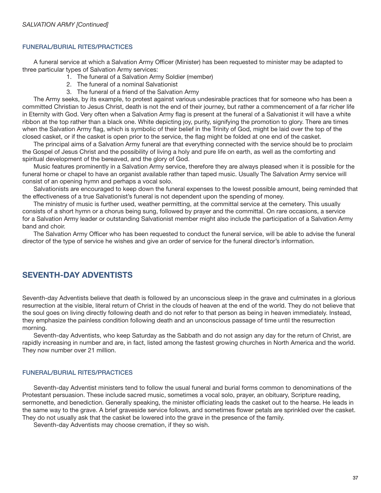## FUNERAL/BURIAL RITES/PRACTICES

A funeral service at which a Salvation Army Officer (Minister) has been requested to minister may be adapted to three particular types of Salvation Army services:

- 1. The funeral of a Salvation Army Soldier (member)
- 2. The funeral of a nominal Salvationist
- 3. The funeral of a friend of the Salvation Army

 The Army seeks, by its example, to protest against various undesirable practices that for someone who has been a committed Christian to Jesus Christ, death is not the end of their journey, but rather a commencement of a far richer life in Eternity with God. Very often when a Salvation Army flag is present at the funeral of a Salvationist it will have a white ribbon at the top rather than a black one. White depicting joy, purity, signifying the promotion to glory. There are times when the Salvation Army flag, which is symbolic of their belief in the Trinity of God, might be laid over the top of the closed casket, or if the casket is open prior to the service, the flag might be folded at one end of the casket.

 The principal aims of a Salvation Army funeral are that everything connected with the service should be to proclaim the Gospel of Jesus Christ and the possibility of living a holy and pure life on earth, as well as the comforting and spiritual development of the bereaved, and the glory of God.

 Music features prominently in a Salvation Army service, therefore they are always pleased when it is possible for the funeral home or chapel to have an organist available rather than taped music. Usually The Salvation Army service will consist of an opening hymn and perhaps a vocal solo.

 Salvationists are encouraged to keep down the funeral expenses to the lowest possible amount, being reminded that the effectiveness of a true Salvationist's funeral is not dependent upon the spending of money.

 The ministry of music is further used, weather permitting, at the committal service at the cemetery. This usually consists of a short hymn or a chorus being sung, followed by prayer and the committal. On rare occasions, a service for a Salvation Army leader or outstanding Salvationist member might also include the participation of a Salvation Army band and choir.

The Salvation Army Officer who has been requested to conduct the funeral service, will be able to advise the funeral director of the type of service he wishes and give an order of service for the funeral director's information.

# SEVENTH-DAY ADVENTISTS

Seventh-day Adventists believe that death is followed by an unconscious sleep in the grave and culminates in a glorious resurrection at the visible, literal return of Christ in the clouds of heaven at the end of the world. They do not believe that the soul goes on living directly following death and do not refer to that person as being in heaven immediately. Instead, they emphasize the painless condition following death and an unconscious passage of time until the resurrection morning.

 Seventh-day Adventists, who keep Saturday as the Sabbath and do not assign any day for the return of Christ, are rapidly increasing in number and are, in fact, listed among the fastest growing churches in North America and the world. They now number over 21 million.

#### FUNERAL/BURIAL RITES/PRACTICES

 Seventh-day Adventist ministers tend to follow the usual funeral and burial forms common to denominations of the Protestant persuasion. These include sacred music, sometimes a vocal solo, prayer, an obituary, Scripture reading, sermonette, and benediction. Generally speaking, the minister officiating leads the casket out to the hearse. He leads in the same way to the grave. A brief graveside service follows, and sometimes flower petals are sprinkled over the casket. They do not usually ask that the casket be lowered into the grave in the presence of the family.

Seventh-day Adventists may choose cremation, if they so wish.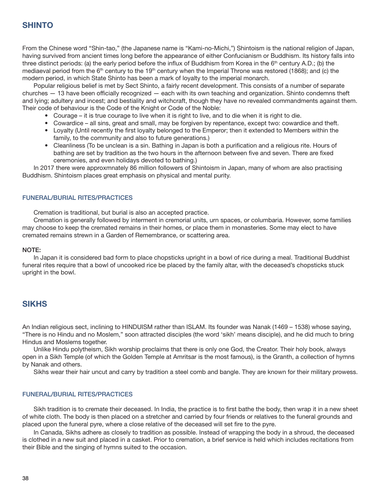# **SHINTO**

From the Chinese word "Shin-tao," (the Japanese name is "Kami-no-Michi,") Shintoism is the national religion of Japan, having survived from ancient times long before the appearance of either Confucianism or Buddhism. Its history falls into three distinct periods: (a) the early period before the influx of Buddhism from Korea in the  $6<sup>th</sup>$  century A.D.; (b) the mediaeval period from the  $6<sup>th</sup>$  century to the 19<sup>th</sup> century when the Imperial Throne was restored (1868); and (c) the modern period, in which State Shinto has been a mark of loyalty to the imperial monarch.

 Popular religious belief is met by Sect Shinto, a fairly recent development. This consists of a number of separate  $churches - 13$  have been officially recognized  $-$  each with its own teaching and organization. Shinto condemns theft and lying; adultery and incest; and bestiality and witchcraft, though they have no revealed commandments against them. Their code of behaviour is the Code of the Knight or Code of the Noble:

- Courage it is true courage to live when it is right to live, and to die when it is right to die.
- Cowardice all sins, great and small, may be forgiven by repentance, except two: cowardice and theft.
- Loyalty (Until recently the first loyalty belonged to the Emperor; then it extended to Members within the family, to the community and also to future generations.)
- Cleanliness (To be unclean is a sin. Bathing in Japan is both a purification and a religious rite. Hours of bathing are set by tradition as the two hours in the afternoon between five and seven. There are fixed ceremonies, and even holidays devoted to bathing.)

 In 2017 there were approxmnately 86 million followers of Shintoism in Japan, many of whom are also practising Buddhism. Shintoism places great emphasis on physical and mental purity.

#### FUNERAL/BURIAL RITES/PRACTICES

Cremation is traditional, but burial is also an accepted practice.

 Cremation is generally followed by interment in cremorial units, urn spaces, or columbaria. However, some families may choose to keep the cremated remains in their homes, or place them in monasteries. Some may elect to have cremated remains strewn in a Garden of Remembrance, or scattering area.

#### NOTE:

 In Japan it is considered bad form to place chopsticks upright in a bowl of rice during a meal. Traditional Buddhist funeral rites require that a bowl of uncooked rice be placed by the family altar, with the deceased's chopsticks stuck upright in the bowl.

## **SIKHS**

An Indian religious sect, inclining to HINDUISM rather than ISLAM. Its founder was Nanak (1469 – 1538) whose saying, "There is no Hindu and no Moslem," soon attracted disciples (the word 'sikh' means disciple), and he did much to bring Hindus and Moslems together.

 Unlike Hindu polytheism, Sikh worship proclaims that there is only one God, the Creator. Their holy book, always open in a Sikh Temple (of which the Golden Temple at Amritsar is the most famous), is the Granth, a collection of hymns by Nanak and others.

Sikhs wear their hair uncut and carry by tradition a steel comb and bangle. They are known for their military prowess.

#### FUNERAL/BURIAL RITES/PRACTICES

Sikh tradition is to cremate their deceased. In India, the practice is to first bathe the body, then wrap it in a new sheet of white cloth. The body is then placed on a stretcher and carried by four friends or relatives to the funeral grounds and placed upon the funeral pyre, where a close relative of the deceased will set fire to the pyre.

In Canada, Sikhs adhere as closely to tradition as possible. Instead of wrapping the body in a shroud, the deceased is clothed in a new suit and placed in a casket. Prior to cremation, a brief service is held which includes recitations from their Bible and the singing of hymns suited to the occasion.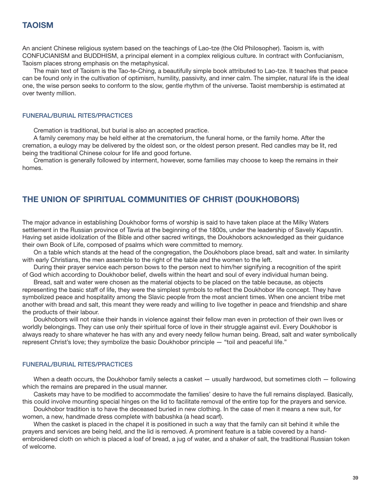An ancient Chinese religious system based on the teachings of Lao-tze (the Old Philosopher). Taoism is, with CONFUCIANISM and BUDDHISM, a principal element in a complex religious culture. In contract with Confucianism, Taoism places strong emphasis on the metaphysical.

 The main text of Taoism is the Tao-te-Ching, a beautifully simple book attributed to Lao-tze. It teaches that peace can be found only in the cultivation of optimism, humility, passivity, and inner calm. The simpler, natural life is the ideal one, the wise person seeks to conform to the slow, gentle rhythm of the universe. Taoist membership is estimated at over twenty million.

#### FUNERAL/BURIAL RITES/PRACTICES

Cremation is traditional, but burial is also an accepted practice.

 A family ceremony may be held either at the crematorium, the funeral home, or the family home. After the cremation, a eulogy may be delivered by the oldest son, or the oldest person present. Red candles may be lit, red being the traditional Chinese colour for life and good fortune.

 Cremation is generally followed by interment, however, some families may choose to keep the remains in their homes.

# THE UNION OF SPIRITUAL COMMUNITIES OF CHRIST (DOUKHOBORS)

The major advance in establishing Doukhobor forms of worship is said to have taken place at the Milky Waters settlement in the Russian province of Tavria at the beginning of the 1800s, under the leadership of Saveliy Kapustin. Having set aside idolization of the Bible and other sacred writings, the Doukhobors acknowledged as their guidance their own Book of Life, composed of psalms which were committed to memory.

 On a table which stands at the head of the congregation, the Doukhobors place bread, salt and water. In similarity with early Christians, the men assemble to the right of the table and the women to the left.

 During their prayer service each person bows to the person next to him/her signifying a recognition of the spirit of God which according to Doukhobor belief, dwells within the heart and soul of every individual human being.

 Bread, salt and water were chosen as the material objects to be placed on the table because, as objects representing the basic staff of life, they were the simplest symbols to reflect the Doukhobor life concept. They have symbolized peace and hospitality among the Slavic people from the most ancient times. When one ancient tribe met another with bread and salt, this meant they were ready and willing to live together in peace and friendship and share the products of their labour.

 Doukhobors will not raise their hands in violence against their fellow man even in protection of their own lives or worldly belongings. They can use only their spiritual force of love in their struggle against evil. Every Doukhobor is always ready to share whatever he has with any and every needy fellow human being. Bread, salt and water symbolically represent Christ's love; they symbolize the basic Doukhobor principle — "toil and peaceful life."

#### FUNERAL/BURIAL RITES/PRACTICES

When a death occurs, the Doukhobor family selects a casket — usually hardwood, but sometimes cloth — following which the remains are prepared in the usual manner.

Caskets may have to be modified to accommodate the families' desire to have the full remains displayed. Basically, this could involve mounting special hinges on the lid to facilitate removal of the entire top for the prayers and service.

 Doukhobor tradition is to have the deceased buried in new clothing. In the case of men it means a new suit, for women, a new, handmade dress complete with babushka (a head scarf).

 When the casket is placed in the chapel it is positioned in such a way that the family can sit behind it while the prayers and services are being held, and the lid is removed. A prominent feature is a table covered by a handembroidered cloth on which is placed a loaf of bread, a jug of water, and a shaker of salt, the traditional Russian token of welcome.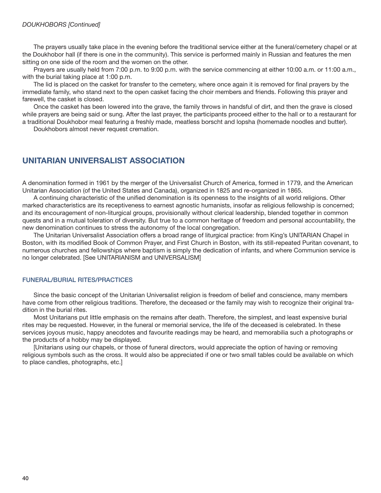The prayers usually take place in the evening before the traditional service either at the funeral/cemetery chapel or at the Doukhobor hall (if there is one in the community). This service is performed mainly in Russian and features the men sitting on one side of the room and the women on the other.

Prayers are usually held from 7:00 p.m. to 9:00 p.m. with the service commencing at either 10:00 a.m. or 11:00 a.m., with the burial taking place at 1:00 p.m.

The lid is placed on the casket for transfer to the cemetery, where once again it is removed for final prayers by the immediate family, who stand next to the open casket facing the choir members and friends. Following this prayer and farewell, the casket is closed.

 Once the casket has been lowered into the grave, the family throws in handsful of dirt, and then the grave is closed while prayers are being said or sung. After the last prayer, the participants proceed either to the hall or to a restaurant for a traditional Doukhobor meal featuring a freshly made, meatless borscht and lopsha (homemade noodles and butter).

Doukhobors almost never request cremation.

## UNITARIAN UNIVERSALIST ASSOCIATION

A denomination formed in 1961 by the merger of the Universalist Church of America, formed in 1779, and the American Unitarian Association (of the United States and Canada), organized in 1825 and re-organized in 1865.

A continuing characteristic of the unified denomination is its openness to the insights of all world religions. Other marked characteristics are its receptiveness to earnest agnostic humanists, insofar as religious fellowship is concerned; and its encouragement of non-liturgical groups, provisionally without clerical leadership, blended together in common quests and in a mutual toleration of diversity. But true to a common heritage of freedom and personal accountability, the new denomination continues to stress the autonomy of the local congregation.

 The Unitarian Universalist Association offers a broad range of liturgical practice: from King's UNITARIAN Chapel in Boston, with its modified Book of Common Prayer, and First Church in Boston, with its still-repeated Puritan covenant, to numerous churches and fellowships where baptism is simply the dedication of infants, and where Communion service is no longer celebrated. [See UNITARIANISM and UNIVERSALISM]

#### FUNERAL/BURIAL RITES/PRACTICES

 Since the basic concept of the Unitarian Universalist religion is freedom of belief and conscience, many members have come from other religious traditions. Therefore, the deceased or the family may wish to recognize their original tradition in the burial rites.

 Most Unitarians put little emphasis on the remains after death. Therefore, the simplest, and least expensive burial rites may be requested. However, in the funeral or memorial service, the life of the deceased is celebrated. In these services joyous music, happy anecdotes and favourite readings may be heard, and memorabilia such a photographs or the products of a hobby may be displayed.

 [Unitarians using our chapels, or those of funeral directors, would appreciate the option of having or removing religious symbols such as the cross. It would also be appreciated if one or two small tables could be available on which to place candles, photographs, etc.]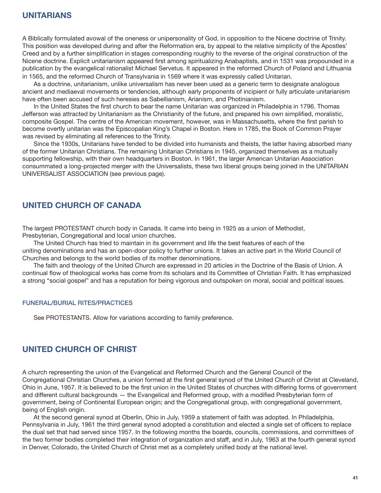A Biblically formulated avowal of the oneness or unipersonality of God, in opposition to the Nicene doctrine of Trinity. This position was developed during and after the Reformation era, by appeal to the relative simplicity of the Apostles' Creed and by a further simplification in stages corresponding roughly to the reverse of the original construction of the Nicene doctrine. Explicit unitarianism appeared first among spiritualizing Anabaptists, and in 1531 was propounded in a publication by the evangelical rationalist Michael Servetus. It appeared in the reformed Church of Poland and Lithuania in 1565, and the reformed Church of Transylvania in 1569 where it was expressly called Unitarian.

 As a doctrine, unitarianism, unlike universalism has never been used as a generic term to designate analogous ancient and mediaeval movements or tendencies, although early proponents of incipient or fully articulate unitarianism have often been accused of such heresies as Sabellianism, Arianism, and Photinianism.

In the United States the first church to bear the name Unitarian was organized in Philadelphia in 1796. Thomas Jefferson was attracted by Unitarianism as the Christianity of the future, and prepared his own simplified, moralistic, composite Gospel. The centre of the American movement, however, was in Massachusetts, where the first parish to become overtly unitarian was the Episcopalian King's Chapel in Boston. Here in 1785, the Book of Common Prayer was revised by eliminating all references to the Trinity.

 Since the 1930s, Unitarians have tended to be divided into humanists and theists, the latter having absorbed many of the former Unitarian Christians. The remaining Unitarian Christians in 1945, organized themselves as a mutually supporting fellowship, with their own headquarters in Boston. In 1961, the larger American Unitarian Association consummated a long-projected merger with the Universalists, these two liberal groups being joined in the UNITARIAN UNIVERSALIST ASSOCIATION (see previous page).

# UNITED CHURCH OF CANADA

The largest PROTESTANT church body in Canada. It came into being in 1925 as a union of Methodist, Presbyterian, Congregational and local union churches.

 The United Church has tried to maintain in its government and life the best features of each of the uniting denominations and has an open-door policy to further unions. It takes an active part in the World Council of Churches and belongs to the world bodies of its mother denominations.

 The faith and theology of the United Church are expressed in 20 articles in the Doctrine of the Basis of Union. A continual flow of theological works has come from its scholars and its Committee of Christian Faith. It has emphasized a strong "social gospel" and has a reputation for being vigorous and outspoken on moral, social and political issues.

## FUNERAL/BURIAL RITES/PRACTICES

See PROTESTANTS. Allow for variations according to family preference.

## UNITED CHURCH OF CHRIST

A church representing the union of the Evangelical and Reformed Church and the General Council of the Congregational Christian Churches, a union formed at the first general synod of the United Church of Christ at Cleveland, Ohio in June, 1957. It is believed to be the first union in the United States of churches with differing forms of government and different cultural backgrounds — the Evangelical and Reformed group, with a modified Presbyterian form of government, being of Continental European origin; and the Congregational group, with congregational government, being of English origin.

 At the second general synod at Oberlin, Ohio in July, 1959 a statement of faith was adopted. In Philadelphia, Pennsylvania in July, 1961 the third general synod adopted a constitution and elected a single set of officers to replace the dual set that had served since 1957. In the following months the boards, councils, commissions, and committees of the two former bodies completed their integration of organization and staff, and in July, 1963 at the fourth general synod in Denver, Colorado, the United Church of Christ met as a completely unified body at the national level.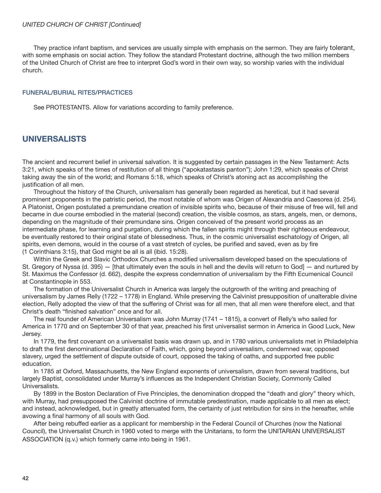#### UNITED CHURCH OF CHRIST [Continued]

 They practice infant baptism, and services are usually simple with emphasis on the sermon. They are fairly tolerant, with some emphasis on social action. They follow the standard Protestant doctrine, although the two million members of the United Church of Christ are free to interpret God's word in their own way, so worship varies with the individual church.

## FUNERAL/BURIAL RITES/PRACTICES

See PROTESTANTS. Allow for variations according to family preference.

## UNIVERSALISTS

The ancient and recurrent belief in universal salvation. It is suggested by certain passages in the New Testament: Acts 3:21, which speaks of the times of restitution of all things ("apokatastasis panton"); John 1:29, which speaks of Christ taking away the sin of the world; and Romans 5:18, which speaks of Christ's atoning act as accomplishing the justification of all men.

 Throughout the history of the Church, universalism has generally been regarded as heretical, but it had several prominent proponents in the patristic period, the most notable of whom was Origen of Alexandria and Caesorea (d. 254). A Platonist, Origen postulated a premundane creation of invisible spirits who, because of their misuse of free will, fell and became in due course embodied in the material (second) creation, the visible cosmos, as stars, angels, men, or demons, depending on the magnitude of their premundane sins. Origen conceived of the present world process as an intermediate phase, for learning and purgation, during which the fallen spirits might through their righteous endeavour, be eventually restored to their original state of blessedness. Thus, in the cosmic universalist eschatology of Origen, all spirits, even demons, would in the course of a vast stretch of cycles, be purified and saved, even as by fire (1 Corinthians 3:15), that God might be all is all (ibid. 15:28).

Within the Greek and Slavic Orthodox Churches a modified universalism developed based on the speculations of St. Gregory of Nyssa (d. 395) — [that ultimately even the souls in hell and the devils will return to God] — and nurtured by St. Maximus the Confessor (d. 662), despite the express condemnation of universalism by the Fifth Ecumenical Council at Constantinople in 553.

 The formation of the Universalist Church in America was largely the outgrowth of the writing and preaching of universalism by James Relly (1722 – 1778) in England. While preserving the Calvinist presupposition of unalterable divine election, Relly adopted the view of that the suffering of Christ was for all men, that all men were therefore elect, and that Christ's death "finished salvation" once and for all.

 The real founder of American Universalism was John Murray (1741 – 1815), a convert of Relly's who sailed for America in 1770 and on September 30 of that year, preached his first universalist sermon in America in Good Luck, New Jersey.

In 1779, the first covenant on a universalist basis was drawn up, and in 1780 various universalists met in Philadelphia to draft the first denominational Declaration of Faith, which, going beyond universalism, condemned war, opposed slavery, urged the settlement of dispute outside of court, opposed the taking of oaths, and supported free public education.

 In 1785 at Oxford, Massachusetts, the New England exponents of universalism, drawn from several traditions, but largely Baptist, consolidated under Murray's influences as the Independent Christian Society, Commonly Called Universalists.

 By 1899 in the Boston Declaration of Five Principles, the denomination dropped the "death and glory" theory which, with Murray, had presupposed the Calvinist doctrine of immutable predestination, made applicable to all men as elect; and instead, acknowledged, but in greatly attenuated form, the certainty of just retribution for sins in the hereafter, while avowing a final harmony of all souls with God.

 After being rebuffed earlier as a applicant for membership in the Federal Council of Churches (now the National Council), the Universalist Church in 1960 voted to merge with the Unitarians, to form the UNITARIAN UNIVERSALIST ASSOCIATION (q.v.) which formerly came into being in 1961.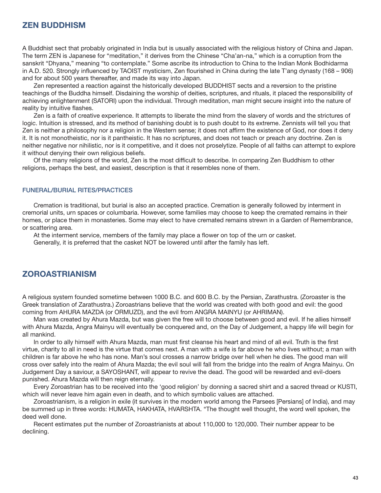## ZEN BUDDHISM

A Buddhist sect that probably originated in India but is usually associated with the religious history of China and Japan. The term ZEN is Japanese for "meditation," it derives from the Chinese "Cha'an-na," which is a corruption from the sanskrit "Dhyana," meaning "to contemplate." Some ascribe its introduction to China to the Indian Monk Bodhidarma in A.D. 520. Strongly influenced by TAOIST mysticism, Zen flourished in China during the late T'ang dynasty (168 – 906) and for about 500 years thereafter, and made its way into Japan.

 Zen represented a reaction against the historically developed BUDDHIST sects and a reversion to the pristine teachings of the Buddha himself. Disdaining the worship of deities, scriptures, and rituals, it placed the responsibility of achieving enlightenment (SATORI) upon the individual. Through meditation, man might secure insight into the nature of reality by intuitive flashes.

 Zen is a faith of creative experience. It attempts to liberate the mind from the slavery of words and the strictures of logic. Intuition is stressed, and its method of banishing doubt is to push doubt to its extreme. Zennists will tell you that Zen is neither a philosophy nor a religion in the Western sense; it does not affirm the existence of God, nor does it deny it. It is not monotheistic, nor is it pantheistic. It has no scriptures, and does not teach or preach any doctrine. Zen is neither negative nor nihilistic, nor is it competitive, and it does not proselytize. People of all faiths can attempt to explore it without denying their own religious beliefs.

Of the many religions of the world, Zen is the most difficult to describe. In comparing Zen Buddhism to other religions, perhaps the best, and easiest, description is that it resembles none of them.

#### FUNERAL/BURIAL RITES/PRACTICES

 Cremation is traditional, but burial is also an accepted practice. Cremation is generally followed by interment in cremorial units, urn spaces or columbaria. However, some families may choose to keep the cremated remains in their homes, or place them in monasteries. Some may elect to have cremated remains strewn in a Garden of Remembrance, or scattering area.

At the interment service, members of the family may place a flower on top of the urn or casket.

Generally, it is preferred that the casket NOT be lowered until after the family has left.

## ZOROASTRIANISM

A religious system founded sometime between 1000 B.C. and 600 B.C. by the Persian, Zarathustra. (Zoroaster is the Greek translation of Zarathustra.) Zoroastrians believe that the world was created with both good and evil: the good coming from AHURA MAZDA (or ORMUZD), and the evil from ANGRA MAINYU (or AHRIMAN).

 Man was created by Ahura Mazda, but was given the free will to choose between good and evil. If he allies himself with Ahura Mazda, Angra Mainyu will eventually be conquered and, on the Day of Judgement, a happy life will begin for all mankind.

In order to ally himself with Ahura Mazda, man must first cleanse his heart and mind of all evil. Truth is the first virtue, charity to all in need is the virtue that comes next. A man with a wife is far above he who lives without; a man with children is far above he who has none. Man's soul crosses a narrow bridge over hell when he dies. The good man will cross over safely into the realm of Ahura Mazda; the evil soul will fall from the bridge into the realm of Angra Mainyu. On Judgement Day a saviour, a SAYOSHANT, will appear to revive the dead. The good will be rewarded and evil-doers punished. Ahura Mazda will then reign eternally.

 Every Zoroastrian has to be received into the 'good religion' by donning a sacred shirt and a sacred thread or KUSTI, which will never leave him again even in death, and to which symbolic values are attached.

 Zoroastrianism, is a religion in exile (it survives in the modern world among the Parsees [Persians] of India), and may be summed up in three words: HUMATA, HAKHATA, HVARSHTA. "The thought well thought, the word well spoken, the deed well done.

 Recent estimates put the number of Zoroastrianists at about 110,000 to 120,000. Their number appear to be declining.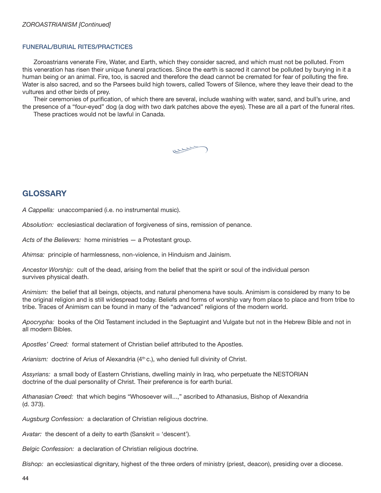#### FUNERAL/BURIAL RITES/PRACTICES

 Zoroastrians venerate Fire, Water, and Earth, which they consider sacred, and which must not be polluted. From this veneration has risen their unique funeral practices. Since the earth is sacred it cannot be polluted by burying in it a human being or an animal. Fire, too, is sacred and therefore the dead cannot be cremated for fear of polluting the fire. Water is also sacred, and so the Parsees build high towers, called Towers of Silence, where they leave their dead to the vultures and other birds of prey.

Their ceremonies of purification, of which there are several, include washing with water, sand, and bull's urine, and the presence of a "four-eyed" dog (a dog with two dark patches above the eyes). These are all a part of the funeral rites.

These practices would not be lawful in Canada.

-

## **GLOSSARY**

A Cappella: unaccompanied (i.e. no instrumental music).

Absolution: ecclesiastical declaration of forgiveness of sins, remission of penance.

Acts of the Believers: home ministries - a Protestant group.

Ahimsa: principle of harmlessness, non-violence, in Hinduism and Jainism.

Ancestor Worship: cult of the dead, arising from the belief that the spirit or soul of the individual person survives physical death.

Animism: the belief that all beings, objects, and natural phenomena have souls. Animism is considered by many to be the original religion and is still widespread today. Beliefs and forms of worship vary from place to place and from tribe to tribe. Traces of Animism can be found in many of the "advanced" religions of the modern world.

Apocrypha: books of the Old Testament included in the Septuagint and Vulgate but not in the Hebrew Bible and not in all modern Bibles.

Apostles' Creed: formal statement of Christian belief attributed to the Apostles.

Arianism: doctrine of Arius of Alexandria (4<sup>th</sup> c.), who denied full divinity of Christ.

Assyrians: a small body of Eastern Christians, dwelling mainly in Iraq, who perpetuate the NESTORIAN doctrine of the dual personality of Christ. Their preference is for earth burial.

Athanasian Creed: that which begins "Whosoever will...," ascribed to Athanasius, Bishop of Alexandria (d. 373).

Augsburg Confession: a declaration of Christian religious doctrine.

Avatar: the descent of a deity to earth (Sanskrit = 'descent').

Belgic Confession: a declaration of Christian religious doctrine.

Bishop: an ecclesiastical dignitary, highest of the three orders of ministry (priest, deacon), presiding over a diocese.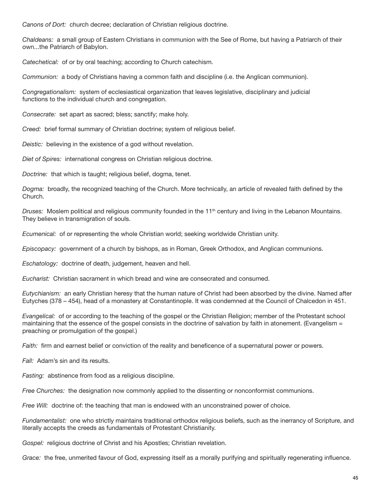Canons of Dort: church decree; declaration of Christian religious doctrine.

Chaldeans: a small group of Eastern Christians in communion with the See of Rome, but having a Patriarch of their own...the Patriarch of Babylon.

Catechetical: of or by oral teaching; according to Church catechism.

Communion: a body of Christians having a common faith and discipline (i.e. the Anglican communion).

Congregationalism: system of ecclesiastical organization that leaves legislative, disciplinary and judicial functions to the individual church and congregation.

Consecrate: set apart as sacred; bless; sanctify; make holy.

Creed: brief formal summary of Christian doctrine; system of religious belief.

Deistic: believing in the existence of a god without revelation.

Diet of Spires: international congress on Christian religious doctrine.

Doctrine: that which is taught; religious belief, dogma, tenet.

Dogma: broadly, the recognized teaching of the Church. More technically, an article of revealed faith defined by the Church.

Druses: Moslem political and religious community founded in the  $11<sup>th</sup>$  century and living in the Lebanon Mountains. They believe in transmigration of souls.

Ecumenical: of or representing the whole Christian world; seeking worldwide Christian unity.

Episcopacy: government of a church by bishops, as in Roman, Greek Orthodox, and Anglican communions.

Eschatology: doctrine of death, judgement, heaven and hell.

Eucharist: Christian sacrament in which bread and wine are consecrated and consumed.

Eutychianism: an early Christian heresy that the human nature of Christ had been absorbed by the divine. Named after Eutyches (378 – 454), head of a monastery at Constantinople. It was condemned at the Council of Chalcedon in 451.

Evangelical: of or according to the teaching of the gospel or the Christian Religion; member of the Protestant school maintaining that the essence of the gospel consists in the doctrine of salvation by faith in atonement. (Evangelism = preaching or promulgation of the gospel.)

Faith: firm and earnest belief or conviction of the reality and beneficence of a supernatural power or powers.

Fall: Adam's sin and its results.

Fasting: abstinence from food as a religious discipline.

Free Churches: the designation now commonly applied to the dissenting or nonconformist communions.

Free Will: doctrine of: the teaching that man is endowed with an unconstrained power of choice.

Fundamentalist: one who strictly maintains traditional orthodox religious beliefs, such as the inerrancy of Scripture, and literally accepts the creeds as fundamentals of Protestant Christianity.

Gospel: religious doctrine of Christ and his Apostles; Christian revelation.

Grace: the free, unmerited favour of God, expressing itself as a morally purifying and spiritually regenerating influence.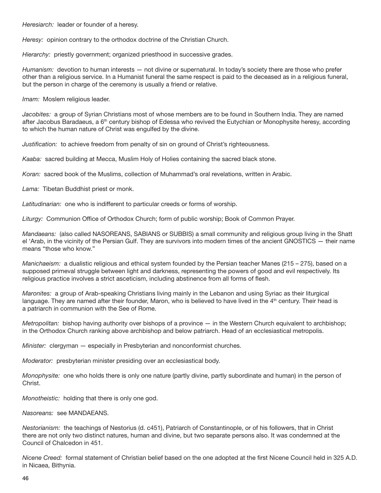Heresiarch: leader or founder of a heresy.

Heresy: opinion contrary to the orthodox doctrine of the Christian Church.

Hierarchy: priestly government; organized priesthood in successive grades.

Humanism: devotion to human interests — not divine or supernatural. In today's society there are those who prefer other than a religious service. In a Humanist funeral the same respect is paid to the deceased as in a religious funeral, but the person in charge of the ceremony is usually a friend or relative.

Imam: Moslem religious leader.

Jacobites: a group of Syrian Christians most of whose members are to be found in Southern India. They are named after Jacobus Baradaeus, a 6<sup>th</sup> century bishop of Edessa who revived the Eutychian or Monophysite heresy, according to which the human nature of Christ was engulfed by the divine.

Justification: to achieve freedom from penalty of sin on ground of Christ's righteousness.

Kaaba: sacred building at Mecca, Muslim Holy of Holies containing the sacred black stone.

Koran: sacred book of the Muslims, collection of Muhammad's oral revelations, written in Arabic.

Lama: Tibetan Buddhist priest or monk.

Latitudinarian: one who is indifferent to particular creeds or forms of worship.

Liturgy: Communion Office of Orthodox Church; form of public worship; Book of Common Prayer.

Mandaeans: (also called NASOREANS, SABIANS or SUBBIS) a small community and religious group living in the Shatt el 'Arab, in the vicinity of the Persian Gulf. They are survivors into modern times of the ancient GNOSTICS — their name means "those who know."

Manichaeism: a dualistic religious and ethical system founded by the Persian teacher Manes (215 – 275), based on a supposed primeval struggle between light and darkness, representing the powers of good and evil respectively. Its religious practice involves a strict asceticism, including abstinence from all forms of flesh.

Maronites: a group of Arab-speaking Christians living mainly in the Lebanon and using Syriac as their liturgical language. They are named after their founder, Maron, who is believed to have lived in the 4<sup>th</sup> century. Their head is a patriarch in communion with the See of Rome.

*Metropolitan:* bishop having authority over bishops of a province  $-$  in the Western Church equivalent to archbishop; in the Orthodox Church ranking above archbishop and below patriarch. Head of an ecclesiastical metropolis.

Minister: clergyman — especially in Presbyterian and nonconformist churches.

Moderator: presbyterian minister presiding over an ecclesiastical body.

Monophysite: one who holds there is only one nature (partly divine, partly subordinate and human) in the person of Christ.

Monotheistic: holding that there is only one god.

Nasoreans: see MANDAEANS.

Nestorianism: the teachings of Nestorius (d. c451), Patriarch of Constantinople, or of his followers, that in Christ there are not only two distinct natures, human and divine, but two separate persons also. It was condemned at the Council of Chalcedon in 451.

Nicene Creed: formal statement of Christian belief based on the one adopted at the first Nicene Council held in 325 A.D. in Nicaea, Bithynia.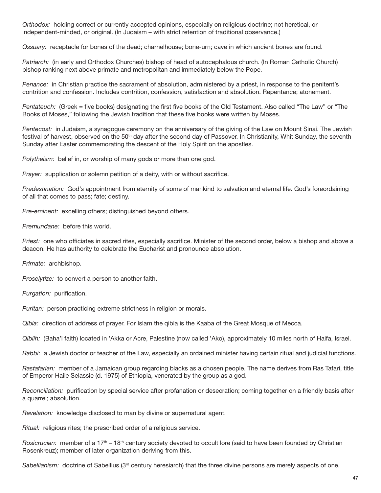Orthodox: holding correct or currently accepted opinions, especially on religious doctrine; not heretical, or independent-minded, or original. (In Judaism – with strict retention of traditional observance.)

Ossuary: receptacle for bones of the dead; charnelhouse; bone-urn; cave in which ancient bones are found.

Patriarch: (in early and Orthodox Churches) bishop of head of autocephalous church. (In Roman Catholic Church) bishop ranking next above primate and metropolitan and immediately below the Pope.

Penance: in Christian practice the sacrament of absolution, administered by a priest, in response to the penitent's contrition and confession. Includes contrition, confession, satisfaction and absolution. Repentance; atonement.

Pentateuch: (Greek = five books) designating the first five books of the Old Testament. Also called "The Law" or "The Books of Moses," following the Jewish tradition that these five books were written by Moses.

Pentecost: in Judaism, a synagogue ceremony on the anniversary of the giving of the Law on Mount Sinai. The Jewish festival of harvest, observed on the 50<sup>th</sup> day after the second day of Passover. In Christianity, Whit Sunday, the seventh Sunday after Easter commemorating the descent of the Holy Spirit on the apostles.

Polytheism: belief in, or worship of many gods or more than one god.

Prayer: supplication or solemn petition of a deity, with or without sacrifice.

Predestination: God's appointment from eternity of some of mankind to salvation and eternal life. God's foreordaining of all that comes to pass; fate; destiny.

Pre-eminent: excelling others; distinguished beyond others.

Premundane: before this world.

Priest: one who officiates in sacred rites, especially sacrifice. Minister of the second order, below a bishop and above a deacon. He has authority to celebrate the Eucharist and pronounce absolution.

Primate: archbishop.

Proselytize: to convert a person to another faith.

Purgation: purification.

Puritan: person practicing extreme strictness in religion or morals.

Qibla: direction of address of prayer. For Islam the qibla is the Kaaba of the Great Mosque of Mecca.

Qiblih: (Baha'i faith) located in 'Akka or Acre, Palestine (now called 'Ako), approximately 10 miles north of Haifa, Israel.

Rabbi: a Jewish doctor or teacher of the Law, especially an ordained minister having certain ritual and judicial functions.

Rastafarian: member of a Jamaican group regarding blacks as a chosen people. The name derives from Ras Tafari, title of Emperor Haile Selassie (d. 1975) of Ethiopia, venerated by the group as a god.

Reconciliation: purification by special service after profanation or desecration; coming together on a friendly basis after a quarrel; absolution.

Revelation: knowledge disclosed to man by divine or supernatural agent.

Ritual: religious rites; the prescribed order of a religious service.

Rosicrucian: member of a 17<sup>th</sup> – 18<sup>th</sup> century society devoted to occult lore (said to have been founded by Christian Rosenkreuz); member of later organization deriving from this.

Sabellianism: doctrine of Sabellius (3rd century heresiarch) that the three divine persons are merely aspects of one.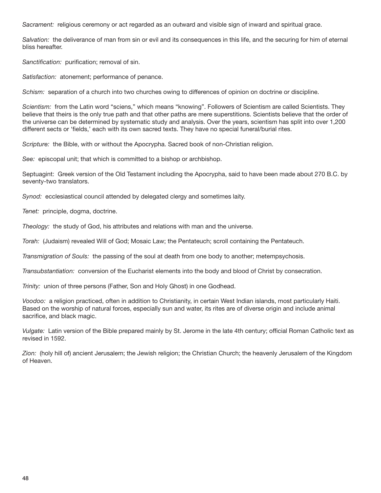Sacrament: religious ceremony or act regarded as an outward and visible sign of inward and spiritual grace.

Salvation: the deliverance of man from sin or evil and its consequences in this life, and the securing for him of eternal bliss hereafter.

Sanctification: purification; removal of sin.

Satisfaction: atonement; performance of penance.

Schism: separation of a church into two churches owing to differences of opinion on doctrine or discipline.

Scientism: from the Latin word "sciens," which means "knowing". Followers of Scientism are called Scientists. They believe that theirs is the only true path and that other paths are mere superstitions. Scientists believe that the order of the universe can be determined by systematic study and analysis. Over the years, scientism has split into over 1,200 different sects or 'fields,' each with its own sacred texts. They have no special funeral/burial rites.

Scripture: the Bible, with or without the Apocrypha. Sacred book of non-Christian religion.

See: episcopal unit; that which is committed to a bishop or archbishop.

Septuagint: Greek version of the Old Testament including the Apocrypha, said to have been made about 270 B.C. by seventy-two translators.

Synod: ecclesiastical council attended by delegated clergy and sometimes laity.

Tenet: principle, dogma, doctrine.

Theology: the study of God, his attributes and relations with man and the universe.

Torah: (Judaism) revealed Will of God; Mosaic Law; the Pentateuch; scroll containing the Pentateuch.

Transmigration of Souls: the passing of the soul at death from one body to another; metempsychosis.

Transubstantiation: conversion of the Eucharist elements into the body and blood of Christ by consecration.

Trinity: union of three persons (Father, Son and Holy Ghost) in one Godhead.

Voodoo: a religion practiced, often in addition to Christianity, in certain West Indian islands, most particularly Haiti. Based on the worship of natural forces, especially sun and water, its rites are of diverse origin and include animal sacrifice, and black magic.

Vulgate: Latin version of the Bible prepared mainly by St. Jerome in the late 4th century; official Roman Catholic text as revised in 1592.

Zion: (holy hill of) ancient Jerusalem; the Jewish religion; the Christian Church; the heavenly Jerusalem of the Kingdom of Heaven.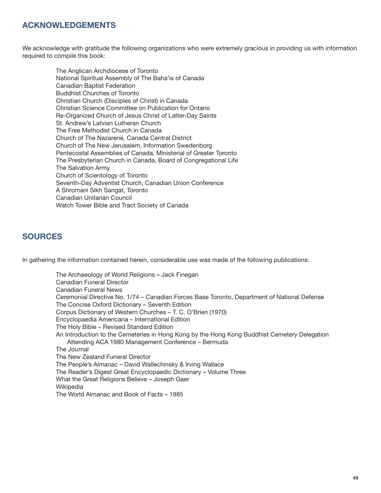# ACKNOWLEDGEMENTS

We acknowledge with gratitude the following organizations who were extremely gracious in providing us with information required to compile this book:

 The Anglican Archdiocese of Toronto National Spiritual Assembly of The Baha'is of Canada Canadian Baptist Federation Buddhist Churches of Toronto Christian Church (Disciples of Christ) in Canada Christian Science Committee on Publication for Ontario Re-Organized Church of Jesus Christ of Latter-Day Saints St. Andrew's Latvian Lutheran Church The Free Methodist Church in Canada Church of The Nazarene, Canada Central District Church of The New Jerusalem, Information Swedenborg Pentecostal Assemblies of Canada, Ministerial of Greater Toronto The Presbyterian Church in Canada, Board of Congregational Life The Salvation Army Church of Scientology of Toronto Seventh-Day Adventist Church, Canadian Union Conference A Shromani Sikh Sangat, Toronto Canadian Unitarian Council Watch Tower Bible and Tract Society of Canada

# **SOURCES**

In gathering the information contained herein, considerable use was made of the following publications:

 The Archaeology of World Religions – Jack Finegan Canadian Funeral Director Canadian Funeral News Ceremonial Directive No. 1/74 – Canadian Forces Base Toronto, Department of National Defense The Concise Oxford Dictionary – Seventh Edition Corpus Dictionary of Western Churches – T. C. O'Brien (1970) Encyclopaedia Americana – International Edition The Holy Bible – Revised Standard Edition An Introduction to the Cemeteries in Hong Kong by the Hong Kong Buddhist Cemetery Delegation Attending ACA 1980 Management Conference – Bermuda The Journal The New Zealand Funeral Director The People's Almanac – David Wallechinsky & Irving Wallace The Reader's Digest Great Encyclopaedic Dictionary – Volume Three What the Great Religions Believe – Joseph Gaer **Wikipedia** The World Almanac and Book of Facts – 1985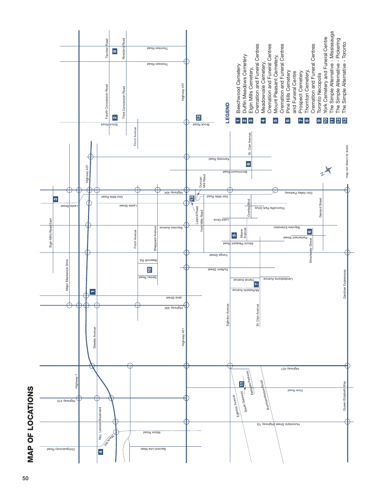